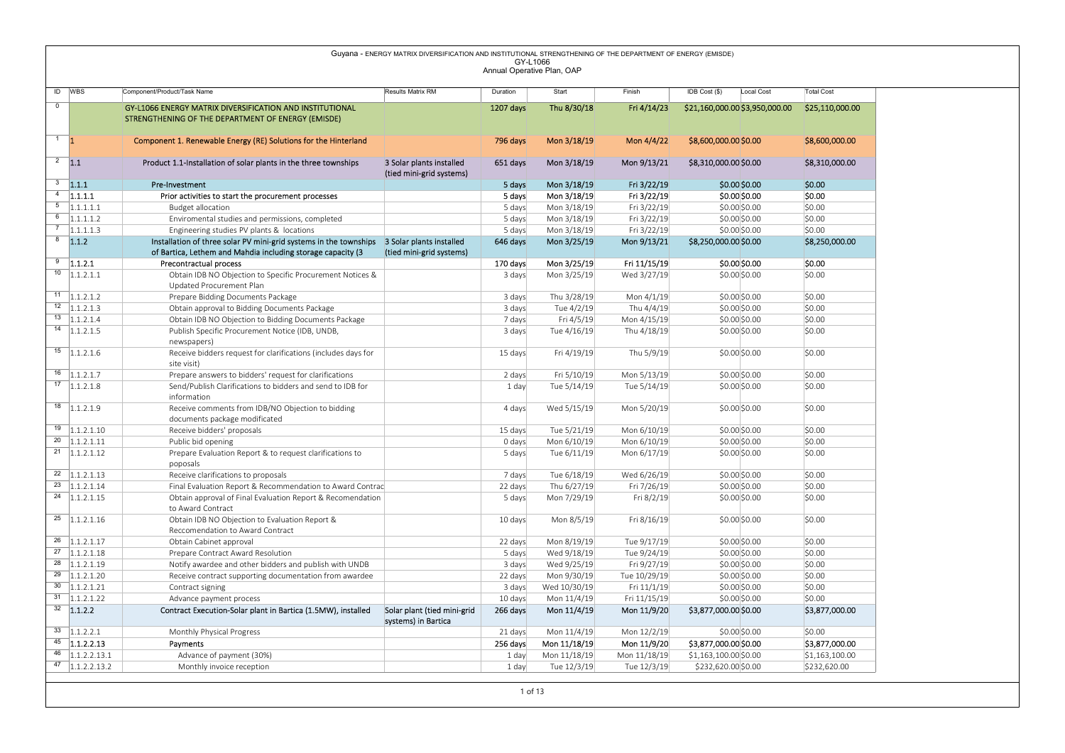|                               |                                                           |                                                                                            | Guyana - ENERGY MATRIX DIVERSIFICATION AND INSTITUTIONAL STRENGTHENING OF THE DEPARTMENT OF ENERGY (EMISDE) | GY-L1066<br>Annual Operative Plan, OAP |                             |                             |                                |                   |
|-------------------------------|-----------------------------------------------------------|--------------------------------------------------------------------------------------------|-------------------------------------------------------------------------------------------------------------|----------------------------------------|-----------------------------|-----------------------------|--------------------------------|-------------------|
|                               | ID WBS                                                    | Component/Product/Task Name                                                                | <b>Results Matrix RM</b>                                                                                    | Duration                               | Start                       | Finish                      | IDB Cost (\$)<br>Local Cost    | <b>Total Cost</b> |
| $\overline{0}$                |                                                           | GY-L1066 ENERGY MATRIX DIVERSIFICATION AND INSTITUTIONAL                                   |                                                                                                             | 1207 days                              | Thu 8/30/18                 | Fri 4/14/23                 | \$21,160,000.00 \$3,950,000.00 | \$25,110,000.00   |
|                               |                                                           | STRENGTHENING OF THE DEPARTMENT OF ENERGY (EMISDE)                                         |                                                                                                             |                                        |                             |                             |                                |                   |
|                               |                                                           |                                                                                            |                                                                                                             |                                        |                             |                             |                                |                   |
| $\overline{1}$ $\overline{1}$ |                                                           | Component 1. Renewable Energy (RE) Solutions for the Hinterland                            |                                                                                                             | 796 days                               | Mon 3/18/19                 | Mon 4/4/22                  | \$8,600,000.00 \$0.00          | \$8,600,000.00    |
|                               |                                                           |                                                                                            |                                                                                                             |                                        |                             |                             |                                |                   |
| $2 \quad 1.1$                 |                                                           | Product 1.1-Installation of solar plants in the three townships                            | 3 Solar plants installed                                                                                    | 651 days                               | Mon 3/18/19                 | Mon 9/13/21                 | \$8,310,000.00 \$0.00          | \$8,310,000.00    |
|                               | $3$ 1.1.1                                                 |                                                                                            | (tied mini-grid systems)                                                                                    |                                        |                             |                             |                                |                   |
| $\overline{4}$                |                                                           | Pre-Investment                                                                             |                                                                                                             | 5 days                                 | Mon 3/18/19                 | Fri 3/22/19                 | \$0.00\$0.00                   | \$0.00            |
|                               | 1.1.1.1<br>$\overline{5}$ 1.1.1.1.1                       | Prior activities to start the procurement processes                                        |                                                                                                             | 5 days                                 | Mon 3/18/19                 | Fri 3/22/19                 | \$0.00 \$0.00                  | \$0.00            |
| $6\overline{6}$               | 1.1.1.1.2                                                 | <b>Budget allocation</b><br>Enviromental studies and permissions, completed                |                                                                                                             | 5 days<br>5 days                       | Mon 3/18/19<br>Mon 3/18/19  | Fri 3/22/19<br>Fri 3/22/19  | \$0.00 \$0.00<br>\$0.00 \$0.00 | \$0.00<br>\$0.00  |
| $\overline{7}$                | 1.1.1.1.3                                                 | Engineering studies PV plants & locations                                                  |                                                                                                             | 5 days                                 | Mon 3/18/19                 | Fri 3/22/19                 | \$0.00 \$0.00                  | \$0.00            |
|                               | $8 - 1.1.2$                                               | Installation of three solar PV mini-grid systems in the townships 3 Solar plants installed |                                                                                                             | 646 days                               | Mon 3/25/19                 | Mon 9/13/21                 | \$8,250,000.00 \$0.00          | \$8,250,000.00    |
|                               |                                                           | of Bartica, Lethem and Mahdia including storage capacity (3                                | (tied mini-grid systems)                                                                                    |                                        |                             |                             |                                |                   |
|                               | $\frac{9}{1.1.2.1}$                                       | Precontractual process                                                                     |                                                                                                             | 170 days                               | Mon 3/25/19                 | Fri 11/15/19                | \$0.00 \$0.00                  | \$0.00            |
| 10                            | 1.1.2.1.1                                                 | Obtain IDB NO Objection to Specific Procurement Notices &                                  |                                                                                                             | 3 days                                 | Mon 3/25/19                 | Wed 3/27/19                 | \$0.00 \$0.00                  | \$0.00            |
|                               |                                                           | Updated Procurement Plan                                                                   |                                                                                                             |                                        |                             |                             |                                |                   |
|                               | $11$   1.1.2.1.2                                          | Prepare Bidding Documents Package                                                          |                                                                                                             | 3 days                                 | Thu 3/28/19                 | Mon 4/1/19                  | \$0.00 \$0.00                  | \$0.00            |
|                               | $\overline{12}$ $\overline{1.1.2.1.3}$                    | Obtain approval to Bidding Documents Package                                               |                                                                                                             | 3 days                                 | Tue 4/2/19                  | Thu 4/4/19                  | \$0.00 \$0.00                  | \$0.00            |
|                               | $13$ 1.1.2.1.4                                            | Obtain IDB NO Objection to Bidding Documents Package                                       |                                                                                                             | 7 days                                 | Fri 4/5/19                  | Mon 4/15/19                 | \$0.00 \$0.00                  | \$0.00            |
|                               | $14$   1.1.2.1.5                                          | Publish Specific Procurement Notice (IDB, UNDB,                                            |                                                                                                             | 3 days                                 | Tue 4/16/19                 | Thu 4/18/19                 | \$0.00 \$0.00                  | \$0.00            |
|                               |                                                           | newspapers)                                                                                |                                                                                                             |                                        |                             |                             |                                |                   |
|                               | $15$ 1.1.2.1.6                                            | Receive bidders request for clarifications (includes days for                              |                                                                                                             | 15 days                                | Fri 4/19/19                 | Thu 5/9/19                  | \$0.00 \$0.00                  | \$0.00            |
|                               |                                                           | site visit)                                                                                |                                                                                                             |                                        |                             |                             |                                |                   |
|                               | $16$ 1.1.2.1.7                                            | Prepare answers to bidders' request for clarifications                                     |                                                                                                             | 2 days                                 | Fri 5/10/19                 | Mon 5/13/19                 | \$0.00 \$0.00                  | \$0.00            |
|                               | $\overline{17}$ 1.1.2.1.8                                 | Send/Publish Clarifications to bidders and send to IDB for<br>information                  |                                                                                                             | 1 day                                  | Tue 5/14/19                 | Tue 5/14/19                 | \$0.00 \$0.00                  | \$0.00            |
|                               | $18$ 1.1.2.1.9                                            | Receive comments from IDB/NO Objection to bidding                                          |                                                                                                             | 4 days                                 | Wed 5/15/19                 | Mon 5/20/19                 | \$0.00\$0.00                   | \$0.00            |
|                               |                                                           | documents package modificated                                                              |                                                                                                             |                                        |                             |                             |                                |                   |
|                               | $19$ 1.1.2.1.10                                           | Receive bidders' proposals                                                                 |                                                                                                             | 15 days                                | Tue 5/21/19                 | Mon 6/10/19                 | \$0.00 \$0.00                  | \$0.00            |
|                               | $\overline{20}$ 1.1.2.1.11                                | Public bid opening                                                                         |                                                                                                             | 0 days                                 | Mon 6/10/19                 | Mon 6/10/19                 | \$0.00 \$0.00                  | \$0.00            |
|                               | $\overline{21}$ 1.1.2.1.12                                | Prepare Evaluation Report & to request clarifications to                                   |                                                                                                             | 5 days                                 | Tue 6/11/19                 | Mon 6/17/19                 | \$0.00 \$0.00                  | \$0.00            |
|                               |                                                           | poposals                                                                                   |                                                                                                             |                                        |                             |                             |                                |                   |
|                               | $\overline{22}$ 1.1.2.1.13                                | Receive clarifications to proposals                                                        |                                                                                                             | 7 days                                 | Tue 6/18/19                 | Wed 6/26/19                 | \$0.00 \$0.00                  | \$0.00            |
|                               | $\overline{23}$ 1.1.2.1.14                                | Final Evaluation Report & Recommendation to Award Contrac                                  |                                                                                                             | 22 days                                | Thu 6/27/19                 | Fri 7/26/19                 | \$0.00 \$0.00                  | \$0.00            |
|                               | $\overline{24}$ 1.1.2.1.15                                | Obtain approval of Final Evaluation Report & Recomendation                                 |                                                                                                             | 5 days                                 | Mon 7/29/19                 | Fri 8/2/19                  | \$0.00 \$0.00                  | \$0.00            |
|                               |                                                           | to Award Contract                                                                          |                                                                                                             |                                        |                             |                             |                                |                   |
|                               | $\overline{25}$ 1.1.2.1.16                                | Obtain IDB NO Objection to Evaluation Report &                                             |                                                                                                             | 10 days                                | Mon 8/5/19                  | Fri 8/16/19                 | \$0.00 \$0.00                  | \$0.00            |
|                               |                                                           | Reccomendation to Award Contract                                                           |                                                                                                             |                                        |                             |                             |                                |                   |
|                               | $\overline{26}$ 1.1.2.1.17                                | Obtain Cabinet approval                                                                    |                                                                                                             | 22 days                                | Mon 8/19/19                 | Tue 9/17/19                 | \$0.00 \$0.00                  | \$0.00            |
|                               | $\overline{27}$ 1.1.2.1.18<br>$\frac{28}{1.1.2.1.19}$     | Prepare Contract Award Resolution                                                          |                                                                                                             | 5 days                                 | Wed 9/18/19                 | Tue 9/24/19                 | \$0.00 \$0.00                  | \$0.00            |
|                               | $\overline{29}$ 1.1.2.1.20                                | Notify awardee and other bidders and publish with UNDB                                     |                                                                                                             | 3 days                                 | Wed 9/25/19                 | Fri 9/27/19                 | \$0.00 \$0.00                  | \$0.00            |
|                               | $\overline{30}$ 1.1.2.1.21                                | Receive contract supporting documentation from awardee                                     |                                                                                                             | 22 days                                | Mon 9/30/19<br>Wed 10/30/19 | Tue 10/29/19                | \$0.00 \$0.00                  | \$0.00<br>\$0.00  |
|                               | $\overline{31}$ 1.1.2.1.22                                | Contract signing<br>Advance payment process                                                |                                                                                                             | 3 days<br>10 days                      | Mon 11/4/19                 | Fri 11/1/19<br>Fri 11/15/19 | \$0.00 \$0.00<br>\$0.00 \$0.00 | \$0.00            |
|                               | $\overline{32}$ 1.1.2.2                                   | Contract Execution-Solar plant in Bartica (1.5MW), installed                               | Solar plant (tied mini-grid                                                                                 | 266 days                               | Mon 11/4/19                 | Mon 11/9/20                 | \$3,877,000.00 \$0.00          | \$3,877,000.00    |
|                               |                                                           |                                                                                            | systems) in Bartica                                                                                         |                                        |                             |                             |                                |                   |
|                               | $33 \quad 1.1.2.2.1$                                      | Monthly Physical Progress                                                                  |                                                                                                             | 21 days                                | Mon 11/4/19                 | Mon 12/2/19                 | \$0.00 \$0.00                  | \$0.00            |
|                               | $45$ 1.1.2.2.13                                           | Payments                                                                                   |                                                                                                             | 256 days                               | Mon 11/18/19                | Mon 11/9/20                 | \$3,877,000.00 \$0.00          | \$3,877,000.00    |
|                               |                                                           | Advance of payment (30%)                                                                   |                                                                                                             | 1 day                                  | Mon 11/18/19                | Mon 11/18/19                | \$1,163,100.00 \$0.00          | \$1,163,100.00    |
|                               |                                                           |                                                                                            |                                                                                                             | 1 day                                  | Tue 12/3/19                 | Tue 12/3/19                 | \$232,620.00 \$0.00            | \$232,620.00      |
|                               | $\overline{46}$ 1.1.2.2.13.1<br>$\frac{47}{1.1.2.2.13.2}$ | Monthly invoice reception                                                                  |                                                                                                             |                                        |                             |                             |                                |                   |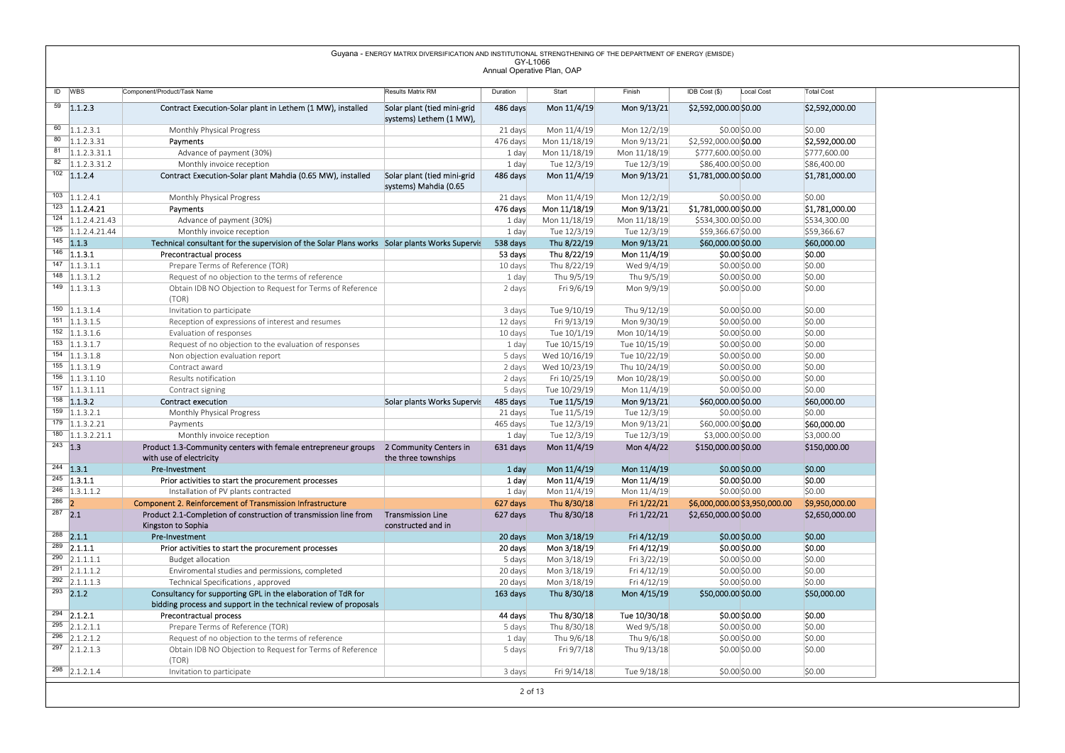|                                                                                                         |                                                                                                                         | Guyana - ENERGY MATRIX DIVERSIFICATION AND INSTITUTIONAL STRENGTHENING OF THE DEPARTMENT OF ENERGY (EMISDE) | GY-L1066            |                             |                              |                                                |                          |
|---------------------------------------------------------------------------------------------------------|-------------------------------------------------------------------------------------------------------------------------|-------------------------------------------------------------------------------------------------------------|---------------------|-----------------------------|------------------------------|------------------------------------------------|--------------------------|
|                                                                                                         |                                                                                                                         |                                                                                                             |                     | Annual Operative Plan, OAP  |                              |                                                |                          |
| ID WBS                                                                                                  | Component/Product/Task Name                                                                                             | Results Matrix RM                                                                                           | Duration            | Start                       | Finish                       | IDB Cost (\$)<br>Local Cost                    | <b>Total Cost</b>        |
| $\overline{59}$ 1.1.2.3                                                                                 | Contract Execution-Solar plant in Lethem (1 MW), installed                                                              | Solar plant (tied mini-grid<br>systems) Lethem (1 MW),                                                      | 486 days            | Mon 11/4/19                 | Mon 9/13/21                  | \$2,592,000.00 \$0.00                          | \$2,592,000.00           |
| $\overline{60}$ 1.1.2.3.1                                                                               | Monthly Physical Progress                                                                                               |                                                                                                             | 21 days             | Mon 11/4/19                 | Mon 12/2/19                  | \$0.00 \$0.00                                  | \$0.00                   |
| $80$   1.1.2.3.31                                                                                       | Payments                                                                                                                |                                                                                                             | 476 days            | Mon 11/18/19                | Mon 9/13/21                  | \$2,592,000.00 \$0.00                          | \$2,592,000.00           |
| $81 \quad  1.1.2.3.31.1$                                                                                | Advance of payment (30%)                                                                                                |                                                                                                             | 1 day               | Mon 11/18/19                | Mon 11/18/19                 | \$777,600.00 \$0.00                            | \$777,600.00             |
| $82$   1.1.2.3.31.2<br>$102$ 1.1.2.4                                                                    | Monthly invoice reception                                                                                               |                                                                                                             | 1 day               | Tue 12/3/19                 | Tue 12/3/19                  | \$86,400.00 \$0.00                             | \$86,400.00              |
|                                                                                                         | Contract Execution-Solar plant Mahdia (0.65 MW), installed                                                              | Solar plant (tied mini-grid<br>systems) Mahdia (0.65                                                        | 486 days            | Mon 11/4/19                 | Mon 9/13/21                  | \$1,781,000.00 \$0.00                          | \$1,781,000.00           |
| $\overline{103}$ 1.1.2.4.1                                                                              | Monthly Physical Progress                                                                                               |                                                                                                             | 21 days             | Mon 11/4/19                 | Mon 12/2/19                  | \$0.00 \$0.00                                  | \$0.00                   |
| $\overline{123}$ 1.1.2.4.21                                                                             | Payments                                                                                                                |                                                                                                             | 476 days            | Mon 11/18/19                | Mon 9/13/21                  | \$1,781,000.00 \$0.00                          | \$1,781,000.00           |
| $\overline{124}$ 1.1.2.4.21.43                                                                          | Advance of payment (30%)                                                                                                |                                                                                                             | 1 day               | Mon 11/18/19                | Mon 11/18/19                 | \$534,300.00 \$0.00                            | \$534,300.00             |
| $\overline{125}$ 1.1.2.4.21.44<br>$145$ 1.1.3                                                           | Monthly invoice reception                                                                                               |                                                                                                             | 1 day               | Tue 12/3/19                 | Tue 12/3/19                  | \$59,366.67 \$0.00<br>\$60,000.00 \$0.00       | \$59,366.67              |
| $146$ 1.1.3.1                                                                                           | Technical consultant for the supervision of the Solar Plans works Solar plants Works Supervis<br>Precontractual process |                                                                                                             | 538 days<br>53 days | Thu 8/22/19<br>Thu 8/22/19  | Mon 9/13/21<br>Mon 11/4/19   | \$0.00 \$0.00                                  | \$60,000.00<br>\$0.00    |
| $147$ 1.1.3.1.1                                                                                         | Prepare Terms of Reference (TOR)                                                                                        |                                                                                                             | 10 days             | Thu 8/22/19                 | Wed 9/4/19                   | \$0.00 \$0.00                                  | \$0.00                   |
| $148$ 1.1.3.1.2                                                                                         | Request of no objection to the terms of reference                                                                       |                                                                                                             | 1 day               | Thu 9/5/19                  | Thu 9/5/19                   | \$0.00 \$0.00                                  | \$0.00                   |
| $\overline{149}$ 1.1.3.1.3                                                                              | Obtain IDB NO Objection to Request for Terms of Reference<br>(TOR)                                                      |                                                                                                             | 2 days              | Fri 9/6/19                  | Mon 9/9/19                   | \$0.00 \$0.00                                  | \$0.00                   |
| $150$   1.1.3.1.4                                                                                       | Invitation to participate                                                                                               |                                                                                                             | 3 days              | Tue 9/10/19                 | Thu 9/12/19                  | \$0.00 \$0.00                                  | \$0.00                   |
| $151$ 1.1.3.1.5                                                                                         | Reception of expressions of interest and resumes                                                                        |                                                                                                             | 12 days             | Fri 9/13/19                 | Mon 9/30/19                  | \$0.00 \$0.00                                  | \$0.00                   |
| $152$ 1.1.3.1.6<br>$153$ 1.1.3.1.7                                                                      | Evaluation of responses<br>Request of no objection to the evaluation of responses                                       |                                                                                                             | 10 days<br>1 day    | Tue 10/1/19<br>Tue 10/15/19 | Mon 10/14/19<br>Tue 10/15/19 | \$0.00 \$0.00<br>\$0.00 \$0.00                 | \$0.00<br>\$0.00         |
| $154$ 1.1.3.1.8                                                                                         | Non objection evaluation report                                                                                         |                                                                                                             | 5 days              | Wed 10/16/19                | Tue 10/22/19                 | \$0.00 \$0.00                                  | \$0.00                   |
| $155$ 1.1.3.1.9                                                                                         | Contract award                                                                                                          |                                                                                                             | 2 days              | Wed 10/23/19                | Thu 10/24/19                 | \$0.00 \$0.00                                  | \$0.00                   |
| $156$ 1.1.3.1.10                                                                                        | Results notification                                                                                                    |                                                                                                             | 2 days              | Fri 10/25/19                | Mon 10/28/19                 | \$0.00 \$0.00                                  | \$0.00                   |
| $157$ 1.1.3.1.11                                                                                        | Contract signing                                                                                                        |                                                                                                             | 5 days              | Tue 10/29/19                | Mon 11/4/19                  | \$0.00 \$0.00                                  | \$0.00                   |
| $158$ 1.1.3.2<br>$159$ 1.1.3.2.1                                                                        | Contract execution<br>Monthly Physical Progress                                                                         | Solar plants Works Supervis                                                                                 | 485 days<br>21 days | Tue 11/5/19<br>Tue 11/5/19  | Mon 9/13/21<br>Tue 12/3/19   | \$60,000.00 \$0.00<br>\$0.00 \$0.00            | \$60,000.00<br>\$0.00    |
| $179$ 1.1.3.2.21                                                                                        | Payments                                                                                                                |                                                                                                             | 465 days            | Tue 12/3/19                 | Mon 9/13/21                  | \$60,000.00 \$0.00                             | \$60,000.00              |
| $180$ 1.1.3.2.21.1                                                                                      | Monthly invoice reception                                                                                               |                                                                                                             | 1 day               | Tue 12/3/19                 | Tue 12/3/19                  | \$3,000.00 \$0.00                              | \$3,000.00               |
| $243$ 1.3                                                                                               | Product 1.3-Community centers with female entrepreneur groups<br>with use of electricity                                | 2 Community Centers in<br>the three townships                                                               | 631 days            | Mon 11/4/19                 | Mon 4/4/22                   | \$150,000.00 \$0.00                            | \$150,000.00             |
| $244$ 1.3.1                                                                                             | Pre-Investment                                                                                                          |                                                                                                             | 1 day               | Mon 11/4/19                 | Mon 11/4/19                  | $$0.00$$ \$0.00                                | \$0.00                   |
| $\overline{245}$ 1.3.1.1                                                                                | Prior activities to start the procurement processes                                                                     |                                                                                                             | 1 day               | Mon 11/4/19                 | Mon 11/4/19                  | \$0.00 \$0.00                                  | \$0.00                   |
| $\overline{246}$ 1.3.1.1.2<br>$\begin{array}{ c c c }\n\hline\n286 & \textbf{2} \\ \hline\n\end{array}$ | Installation of PV plants contracted<br>Component 2. Reinforcement of Transmission Infrastructure                       |                                                                                                             | 1 day<br>627 days   | Mon 11/4/19<br>Thu 8/30/18  | Mon 11/4/19<br>Fri 1/22/21   | \$0.00 \$0.00<br>\$6,000,000.00 \$3,950,000.00 | \$0.00<br>\$9,950,000.00 |
| $287$ 2.1                                                                                               | Product 2.1-Completion of construction of transmission line from                                                        | <b>Transmission Line</b>                                                                                    | 627 days            | Thu 8/30/18                 | Fri 1/22/21                  | \$2,650,000.00 \$0.00                          | \$2,650,000.00           |
|                                                                                                         | Kingston to Sophia                                                                                                      | constructed and in                                                                                          |                     |                             |                              |                                                |                          |
| $288$ 2.1.1                                                                                             | Pre-Investment                                                                                                          |                                                                                                             | 20 days             | Mon 3/18/19                 | Fri 4/12/19                  | \$0.00 \$0.00                                  | \$0.00                   |
|                                                                                                         | Prior activities to start the procurement processes                                                                     |                                                                                                             | 20 days             | Mon 3/18/19                 | Fri 4/12/19                  | \$0.00 \$0.00                                  | \$0.00                   |
| $289$ 2.1.1.1                                                                                           | <b>Budget allocation</b>                                                                                                |                                                                                                             | 5 days              | Mon 3/18/19                 | Fri 3/22/19                  | \$0.00 \$0.00                                  | \$0.00                   |
| $290$ 2.1.1.1.1                                                                                         | Enviromental studies and permissions, completed<br>Technical Specifications, approved                                   |                                                                                                             | 20 days<br>20 days  | Mon 3/18/19<br>Mon 3/18/19  | Fri 4/12/19<br>Fri 4/12/19   | \$0.00 \$0.00<br>\$0.00 \$0.00                 | \$0.00<br>\$0.00         |
| $291$ 2.1.1.1.2                                                                                         |                                                                                                                         |                                                                                                             | 163 days            | Thu 8/30/18                 | Mon 4/15/19                  | \$50,000.00 \$0.00                             | \$50,000.00              |
| $292$ 2.1.1.1.3                                                                                         | Consultancy for supporting GPL in the elaboration of TdR for                                                            |                                                                                                             |                     |                             |                              |                                                |                          |
| $293$ 2.1.2                                                                                             | bidding process and support in the technical review of proposals                                                        |                                                                                                             | 44 days             | Thu 8/30/18                 | Tue 10/30/18                 | \$0.00 \$0.00                                  | \$0.00                   |
| $\overline{294}$ 2.1.2.1                                                                                | Precontractual process                                                                                                  |                                                                                                             |                     |                             |                              |                                                |                          |
| $295$ 2.1.2.1.1                                                                                         | Prepare Terms of Reference (TOR)                                                                                        |                                                                                                             | 5 days              | Thu 8/30/18                 | Wed 9/5/18                   | \$0.00 \$0.00                                  | \$0.00                   |
| $\overline{296}$ 2.1.2.1.2                                                                              | Request of no objection to the terms of reference                                                                       |                                                                                                             | 1 day               | Thu 9/6/18                  | Thu 9/6/18                   | \$0.00 \$0.00                                  | \$0.00                   |
| $297$ 2.1.2.1.3                                                                                         | Obtain IDB NO Objection to Request for Terms of Reference<br>(TOR)                                                      |                                                                                                             | 5 days              | Fri 9/7/18                  | Thu 9/13/18                  | \$0.00 \$0.00                                  | \$0.00                   |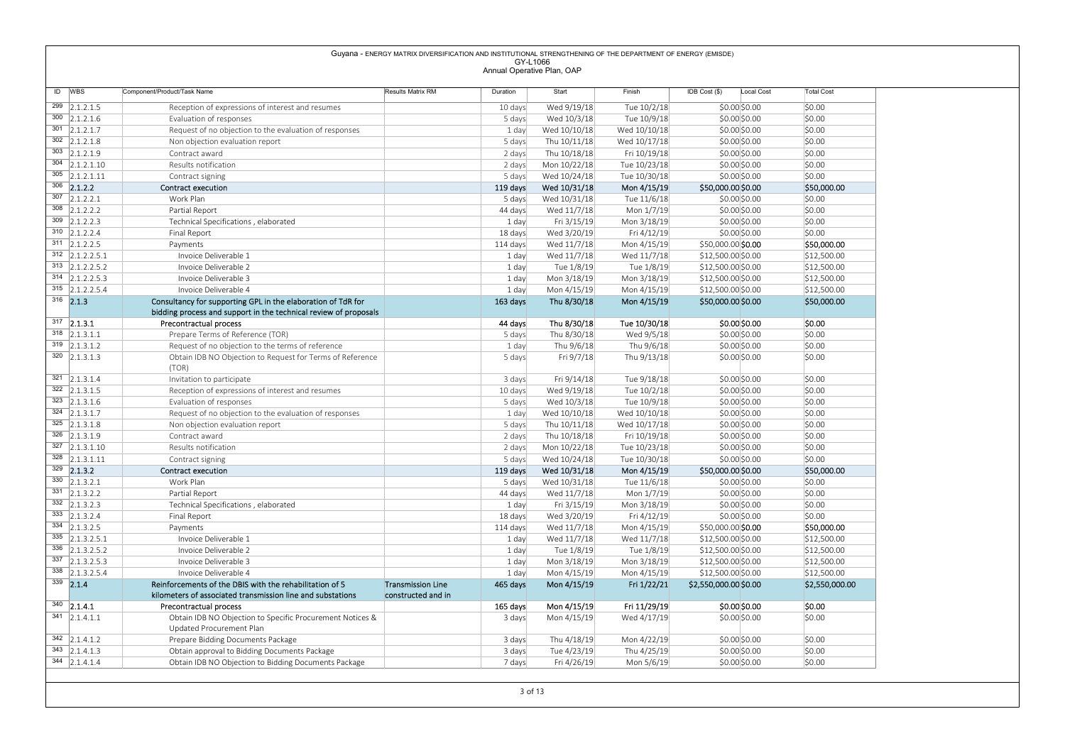ID WBS Component/Product/Task Name Results Matrix RM Duration Start Finish IDB Cost (\$) Local Cost Total Cost <sup>299</sup> 2.1.2.1.5 Reception of expressions of interest and resumes 10 days Wed 9/19/18 Tue 10/2/18 \$0.00 \$0.00 \$0.00 <sup>300</sup> 2.1.2.1.6 Evaluation of responses 5 days Wed 10/3/18 Tue 10/9/18 \$0.00 \$0.00 \$0.00 <sup>301</sup> 2.1.2.1.7 Request of no objection to the evaluation of responses 1 day Wed 10/10/18 Wed 10/10/18 \$0.00 \$0.00 \$0.00 <sup>302</sup> 2.1.2.1.8 Non objection evaluation report 5 days Thu 10/11/18 Wed 10/17/18 \$0.00 \$0.00 \$0.00 <sup>303</sup> 2.1.2.1.9 Contract award 2 days Thu 10/18/18 Fri 10/19/18 \$0.00 \$0.00 \$0.00 <sup>304</sup> 2.1.2.1.10 Results notification 2 days Mon 10/22/18 Tue 10/23/18 \$0.00 \$0.00 \$0.00 <sup>305</sup> 2.1.2.1.11 Contract signing 5 days Wed 10/24/18 Tue 10/30/18 \$0.00 \$0.00 \$0.00 <sup>306</sup> 2.1.2.2 Contract execution 119 days Wed 10/31/18 Mon 4/15/19 \$50,000.00 \$0.00 \$50,000.00 <sup>307</sup> 2.1.2.2.1 Work Plan 5 days Wed 10/31/18 Tue 11/6/18 \$0.00 \$0.00 \$0.00 <sup>308</sup> 2.1.2.2.2 Partial Report 44 days Wed 11/7/18 Mon 1/7/19 \$0.00 \$0.00 \$0.00 <sup>309</sup> 2.1.2.2.3 Technical Specifications , elaborated 1 day Fri 3/15/19 Mon 3/18/19 \$0.00 \$0.00 \$0.00 310 2.1.2.2.4 Final Report 18 days Wed 3/20/19 Fri 4/12/19 \$0.00|\$0.00 <sup>311</sup> 2.1.2.2.5 Payments 114 days Wed 11/7/18 Mon 4/15/19 \$50,000.00 \$0.00 \$50,000.00 <sup>312</sup> 2.1.2.2.5.1 Invoice Deliverable 1 1 day Wed 11/7/18 Wed 11/7/18 \$12,500.00 \$0.00 \$12,500.00 <sup>313</sup> 2.1.2.2.5.2 Invoice Deliverable 2 1 day Tue 1/8/19 Tue 1/8/19 \$12,500.00 \$0.00 \$12,500.00 314 2.1.2.2.5.3 Invoice Deliverable 3 1 day Mon 3/18/19 Mon 3/18/19 \$12,500.00 \$0.00 \$12,500.00 \$12,500.00 \$12,500.00 \$12,500.00 \$12,500.00 \$12,500.00 \$12,500.00 \$12,500.00 \$12,500.00 \$12,500.00 \$12 315 2.1.2.2.5.4 Invoice Deliverable 4 1 day Mon 4/15/19 Mon 4/15/19 \$12,500.00 \$0.00 \$12,500.00 \$12,500.00 \$12,500.00 \$12,500.00 \$12,500.00 \$12,500.00 \$12,500.00 \$12,500.00 \$12,500.00 \$12,500.00 \$12  $\frac{316}{2}$  2.1.3 Consultancy for supporting GPL in the elaboration of TdR for bidding process and support in the technical review of proposals 163 days Thu 8/30/18 Mon 4/15/19 \$50,000.00 \$0.00 \$50,000.00 \$50,000.00 \$50,0 <sup>317</sup> 2.1.3.1 Precontractual process 44 days Thu 8/30/18 Tue 10/30/18 \$0.00 \$0.00 \$0.00 <sup>318</sup> 2.1.3.1.1 Prepare Terms of Reference (TOR) 5 days Thu 8/30/18 Wed 9/5/18 \$0.00 \$0.00 \$0.00 319 2.1.3.1.2 Request of no objection to the terms of reference 1 day Thu 9/6/18 Thu 9/6/18 \$0.00 \$0.00 \$0.00 \$0.00 \$0.00 \$0.00 \$0.00 \$0.00 \$0.00 \$0.00 \$0.00 \$0.00 \$0.00 \$0.00 \$0.00 \$0.00 \$0.00 \$0.00 \$0.00 \$0.00 \$0.00 \$0.0 <sup>320</sup> 2.1.3.1.3 Obtain IDB NO Objection to Request for Terms of Reference (TOR) 5 days Fri 9/7/18 Thu 9/13/18 \$0.00 \$0.00 \$0.00 \$0.00 \$0.00 321 2.1.3.1.4 | Invitation to participate 3 days | 3 days Fri 9/14/18 Tue 9/18/18 \$0.00 \$0.00 \$0.00 \$0.00 \$0.00 322 2.1.3.1.5 Reception of expressions of interest and resumes 10 days Wed 9/19/18 Tue 10/2/18 \$0.00 \$0.00 \$0.00 \$0.00 \$0.00 \$0.00 \$0.00 \$0.00 \$0.00 \$0.00 \$0.00 \$0.00 \$0.00 \$0.00 \$0.00 \$0.00 \$0.00 \$0.00 \$0.00 \$0.00 \$0.00 \$ <sup>323</sup> 2.1.3.1.6 Evaluation of responses 5 days Wed 10/3/18 Tue 10/9/18 \$0.00 \$0.00 \$0.00  $\frac{324}{22.1.3.1.7}$  Request of no objection to the evaluation of responses 1 day Wed 10/10/18 Wed 10/10/18 \$0.00 \$0.00 \$0.00 \$0.00 \$0.00 \$0.00 \$0.00 \$0.00 \$0.00 \$0.00 \$0.00 \$0.00 \$0.00 \$0.00 \$0.00 \$0.00 \$0.00 \$0.00 \$0.00 <sup>325</sup> 2.1.3.1.8 Non objection evaluation report 5 days Thu 10/11/18 Wed 10/17/18 \$0.00 \$0.00 \$0.00 <sup>326</sup> 2.1.3.1.9 Contract award 2 days Thu 10/18/18 Fri 10/19/18 \$0.00 \$0.00 \$0.00 327 2.1.3.1.10 Results notification 2 days Mon 10/22/18 Tue 10/23/18 \$0.00 \$0.00 \$0.00 \$0.00 \$0.00 \$0.00 \$1.00 <sup>328</sup> 2.1.3.1.11 Contract signing 5 days Wed 10/24/18 Tue 10/30/18 \$0.00 \$0.00 \$0.00 <sup>329</sup> 2.1.3.2 Contract execution 119 days Wed 10/31/18 Mon 4/15/19 \$50,000.00 \$0.00 \$50,000.00 <sup>330</sup> 2.1.3.2.1 Work Plan 5 days Wed 10/31/18 Tue 11/6/18 \$0.00 \$0.00 \$0.00 <sup>331</sup> 2.1.3.2.2 Partial Report 44 days Wed 11/7/18 Mon 1/7/19 \$0.00 \$0.00 \$0.00 <sup>332</sup> 2.1.3.2.3 Technical Specifications , elaborated 1 day Fri 3/15/19 Mon 3/18/19 \$0.00 \$0.00 \$0.00 <sup>333</sup> 2.1.3.2.4 Final Report 18 days Wed 3/20/19 Fri 4/12/19 \$0.00 \$0.00 \$0.00 334 2.1.3.2.5 Payments Payments Payments Payments Payments Payments Payments Payments Payments Payments Payments Payments Payments Payments Payments Payments Payments Payments Payments Payments Payments Payments Payments P <sup>335</sup> 2.1.3.2.5.1 Invoice Deliverable 1 1 day Wed 11/7/18 Wed 11/7/18 \$12,500.00 \$0.00 \$12,500.00 336 2.1.3.2.5.2 Invoice Deliverable 2 2 July 1 day Tue 1/8/19 Tue 1/8/19 \$12,500.00 \$10,500.00 \$12,500.00 \$12,500.00 \$12,500.00 \$12,500.00 \$12,500.00 \$12,500.00 \$12,500.00 \$12,500.00 \$12,500.00 \$12,500.00 \$12,500.00 \$12,50 337 2.1.3.2.5.3 Invoice Deliverable 3 1 day Mon 3/18/19 Mon 3/18/19 \$12,500.00 \$0.00 \$12,500.00 \$12,500.00 \$12,500.00 \$12,500.00 \$12,500.00 \$12,500.00 \$12,500.00 \$12,500.00 \$12,500.00 \$12,500.00 \$12 338 2.1.3.2.5.4 Invoice Deliverable 4 1 day the man and the Mon 4/15/19 Mon 4/15/19 \$12,500.00 \$12,500.00 \$12,500.00 \$12,500.00 \$12,500.00 \$12,500.00 \$12,500.00 \$12,500.00 \$12,500.00 \$12,500.00 \$12,500.00 \$12,500.00 \$12,50 <sup>339</sup> 2.1.4 Reinforcements of the DBIS with the rehabilitation of 5 kilometers of associated transmission line and substations Transmission Line 165 days Transmission Line 465 days Mon 4/15/19 Fri 1/22/21 \$2,550,000.00 \$0.00 \$2,550,000.00 <br>constructed and in <sup>340</sup> 2.1.4.1 Precontractual process 165 days Mon 4/15/19 Fri 11/29/19 \$0.00 \$0.00 \$0.00 <sup>341</sup> 2.1.4.1.1 Obtain IDB NO Objection to Specific Procurement Notices & Updated Procurement Plan 3 days Mon 4/15/19 Wed 4/17/19 \$0.00|\$0.00 |\$0.00 | 342 2.1.4.1.2 Prepare Bidding Documents Package 3 days Thu 4/18/19 Mon 4/22/19 \$0.00 \$0.00 \$0.00 \$0.00 \$0.00 \$0.00 \$0.00 \$0.00 \$0.00 \$0.00 \$0.00 \$0.00 \$0.00 \$0.00 \$0.00 \$0.00 \$0.00 \$0.00 \$0.00 \$0.00 \$0.00 \$0.00 \$0.00 \$0.00

 $\frac{343}{21.1.4.1.3}$  Obtain approval to Bidding Documents Package 3 days Tue 4/23/19 Thu 4/25/19 \$0.00 \$0.00 \$0.00 \$0.00 \$0.00 \$0.00 \$0.00 \$0.00 \$0.00 \$0.00 \$0.00 \$0.00 \$0.00 \$0.00 \$0.00 \$0.00 \$0.00 \$0.00 \$0.00 \$0.00 \$0.0

36,00 2.1.4.1.4 Objection to Bidding Documents Package 7 days Fri 4/26/19 Mon 5/6/19 Mon 5/6/19 3.00 \$0.00 \$0.00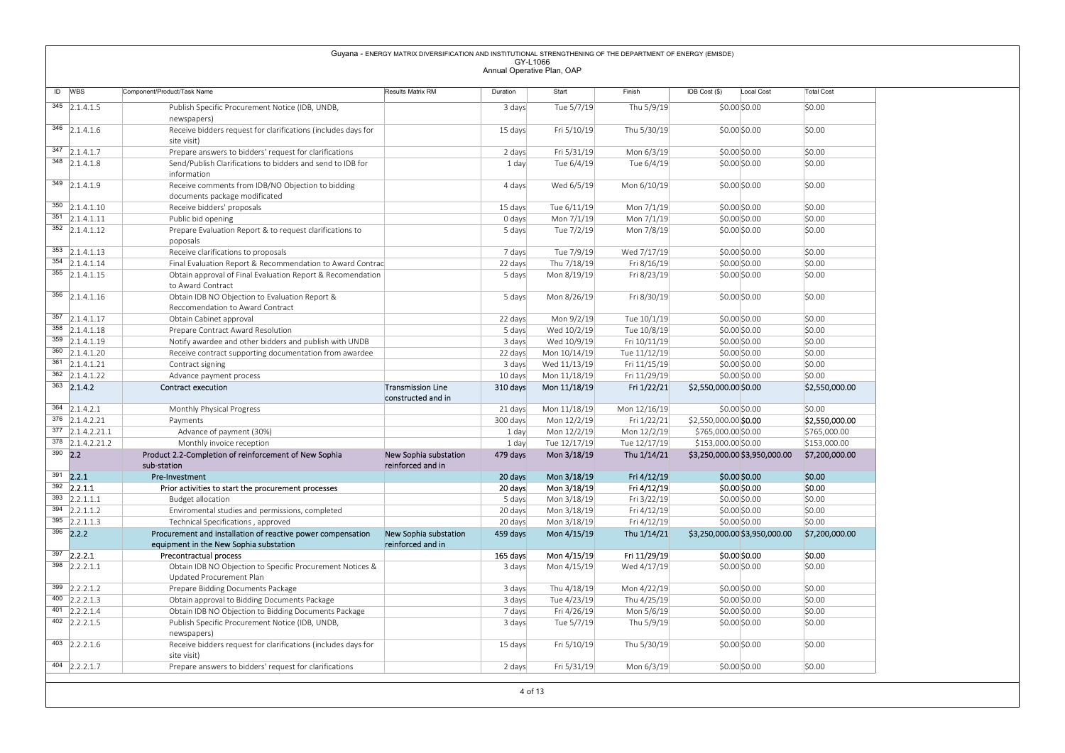|                                                          |                                                                                                                                              | Guyana - ENERGY MATRIX DIVERSIFICATION AND INSTITUTIONAL STRENGTHENING OF THE DEPARTMENT OF ENERGY (EMISDE) |                                        |                             |                              |                                        |                          |
|----------------------------------------------------------|----------------------------------------------------------------------------------------------------------------------------------------------|-------------------------------------------------------------------------------------------------------------|----------------------------------------|-----------------------------|------------------------------|----------------------------------------|--------------------------|
|                                                          |                                                                                                                                              |                                                                                                             | GY-L1066<br>Annual Operative Plan, OAP |                             |                              |                                        |                          |
| ID WBS                                                   | Component/Product/Task Name                                                                                                                  | Results Matrix RM                                                                                           | Duration                               | Start                       | Finish                       | IDB Cost (\$)<br>Local Cost            | <b>Total Cost</b>        |
| $345$ 2.1.4.1.5                                          | Publish Specific Procurement Notice (IDB, UNDB,                                                                                              |                                                                                                             | 3 days                                 | Tue 5/7/19                  | Thu 5/9/19                   | \$0.00\$0.00                           | \$0.00                   |
| $346$ 2.1.4.1.6                                          | newspapers)<br>Receive bidders request for clarifications (includes days for<br>site visit)                                                  |                                                                                                             | 15 days                                | Fri 5/10/19                 | Thu 5/30/19                  | \$0.00\$0.00                           | \$0.00                   |
| $\overline{347}$ 2.1.4.1.7                               | Prepare answers to bidders' request for clarifications                                                                                       |                                                                                                             | 2 days                                 | Fri 5/31/19                 | Mon 6/3/19                   | \$0.00\$0.00                           | \$0.00                   |
| $348$ 2.1.4.1.8                                          | Send/Publish Clarifications to bidders and send to IDB for<br>information                                                                    |                                                                                                             | 1 day                                  | Tue 6/4/19                  | Tue 6/4/19                   | \$0.00\$0.00                           | \$0.00                   |
| $349$ 2.1.4.1.9                                          | Receive comments from IDB/NO Objection to bidding<br>documents package modificated                                                           |                                                                                                             | 4 days                                 | Wed 6/5/19                  | Mon 6/10/19                  | \$0.00\$0.00                           | \$0.00                   |
| $350$ 2.1.4.1.10                                         | Receive bidders' proposals                                                                                                                   |                                                                                                             | 15 days                                | Tue 6/11/19                 | Mon 7/1/19                   | \$0.00\$0.00                           | \$0.00                   |
| $351$ 2.1.4.1.11<br>$352$ 2.1.4.1.12                     | Public bid opening<br>Prepare Evaluation Report & to request clarifications to                                                               |                                                                                                             | 0 days                                 | Mon 7/1/19<br>Tue 7/2/19    | Mon 7/1/19<br>Mon 7/8/19     | \$0.00\$0.00<br>\$0.00\$0.00           | \$0.00<br>\$0.00         |
|                                                          | poposals                                                                                                                                     |                                                                                                             | 5 days                                 |                             |                              |                                        |                          |
| $353$ 2.1.4.1.13                                         | Receive clarifications to proposals                                                                                                          |                                                                                                             | 7 days                                 | Tue 7/9/19                  | Wed 7/17/19                  | $$0.00$ \$0.00                         | \$0.00                   |
| 354 2.1.4.1.14<br>$355$ 2.1.4.1.15                       | Final Evaluation Report & Recommendation to Award Contrac<br>Obtain approval of Final Evaluation Report & Recomendation<br>to Award Contract |                                                                                                             | 22 days<br>5 days                      | Thu 7/18/19<br>Mon 8/19/19  | Fri 8/16/19<br>Fri 8/23/19   | \$0.00\$0.00<br>\$0.00\$0.00           | \$0.00<br>\$0.00         |
| $356$ 2.1.4.1.16                                         | Obtain IDB NO Objection to Evaluation Report &<br>Reccomendation to Award Contract                                                           |                                                                                                             | 5 days                                 | Mon 8/26/19                 | Fri 8/30/19                  | $$0.00$ $$0.00$                        | \$0.00                   |
| $\overline{357}$ 2.1.4.1.17                              | Obtain Cabinet approval                                                                                                                      |                                                                                                             | 22 days                                | Mon 9/2/19                  | Tue 10/1/19                  | \$0.00\$0.00                           | \$0.00                   |
| $358$ 2.1.4.1.18                                         | Prepare Contract Award Resolution                                                                                                            |                                                                                                             | 5 days                                 | Wed 10/2/19                 | Tue 10/8/19                  | \$0.00\$0.00                           | \$0.00                   |
| $359$ 2.1.4.1.19<br>$360$ 2.1.4.1.20                     | Notify awardee and other bidders and publish with UNDB<br>Receive contract supporting documentation from awardee                             |                                                                                                             | 3 days<br>22 days                      | Wed 10/9/19<br>Mon 10/14/19 | Fri 10/11/19<br>Tue 11/12/19 | \$0.00 \$0.00<br>\$0.00 \$0.00         | \$0.00<br>\$0.00         |
| $\overline{361}$ 2.1.4.1.21                              | Contract signing                                                                                                                             |                                                                                                             | 3 days                                 | Wed 11/13/19                | Fri 11/15/19                 | \$0.00 \$0.00                          | \$0.00                   |
| $362$ 2.1.4.1.22                                         | Advance payment process                                                                                                                      |                                                                                                             | 10 days                                | Mon 11/18/19                | Fri 11/29/19                 | \$0.00\$0.00                           | \$0.00                   |
| $363$ 2.1.4.2                                            | Contract execution                                                                                                                           | <b>Transmission Line</b><br>constructed and in                                                              | 310 days                               | Mon 11/18/19                | Fri 1/22/21                  | \$2,550,000.00 \$0.00                  | \$2,550,000.00           |
| $364$ 2.1.4.2.1<br>$376$ 2.1.4.2.21                      | Monthly Physical Progress<br>Payments                                                                                                        |                                                                                                             | 21 days<br>300 days                    | Mon 11/18/19<br>Mon 12/2/19 | Mon 12/16/19<br>Fri 1/22/21  | \$0.00 \$0.00<br>\$2,550,000.00 \$0.00 | \$0.00<br>\$2,550,000.00 |
| $377$ 2.1.4.2.21.1                                       | Advance of payment (30%)                                                                                                                     |                                                                                                             | 1 day                                  | Mon 12/2/19                 | Mon 12/2/19                  | \$765,000.00 \$0.00                    | \$765,000.00             |
| $378$ 2.1.4.2.21.2<br>$390$ 2.2                          | Monthly invoice reception<br>Product 2.2-Completion of reinforcement of New Sophia                                                           |                                                                                                             | 1 day                                  | Tue 12/17/19                | Tue 12/17/19                 | \$153,000.00 \$0.00                    | \$153,000.00             |
|                                                          | sub-station                                                                                                                                  | New Sophia substation<br>reinforced and in                                                                  | 479 days                               | Mon 3/18/19                 | Thu 1/14/21                  | \$3,250,000.00 \$3,950,000.00          | \$7,200,000.00           |
| $391$ 2.2.1                                              | Pre-Investment                                                                                                                               |                                                                                                             | 20 days                                | Mon 3/18/19                 | Fri 4/12/19                  | \$0.00 \$0.00                          | \$0.00                   |
| $392$ 2.2.1.1                                            | Prior activities to start the procurement processes                                                                                          |                                                                                                             | 20 days                                | Mon 3/18/19                 | Fri 4/12/19                  | \$0.00 \$0.00                          | \$0.00                   |
| $\overline{393}$ 2.2.1.1.1<br>$\overline{394}$ 2.2.1.1.2 | Budget allocation<br>Enviromental studies and permissions, completed                                                                         |                                                                                                             | 5 days<br>20 days                      | Mon 3/18/19<br>Mon 3/18/19  | Fri 3/22/19<br>Fri 4/12/19   | \$0.00 \$0.00<br>\$0.00 \$0.00         | \$0.00<br>\$0.00         |
|                                                          | Technical Specifications, approved                                                                                                           |                                                                                                             | 20 days                                | Mon 3/18/19                 | Fri 4/12/19                  | \$0.00 \$0.00                          | \$0.00                   |
| $\overline{395}$ 2.2.1.1.3                               |                                                                                                                                              | New Sophia substation                                                                                       | 459 days                               | Mon 4/15/19                 | Thu 1/14/21                  | \$3,250,000.00 \$3,950,000.00          | \$7,200,000.00           |
| $396$ 2.2.2                                              | Procurement and installation of reactive power compensation                                                                                  |                                                                                                             |                                        |                             |                              |                                        |                          |
|                                                          | equipment in the New Sophia substation                                                                                                       | reinforced and in                                                                                           |                                        |                             |                              |                                        |                          |
| $397$ 2.2.2.1<br>$398$ 2.2.2.1.1                         | Precontractual process<br>Obtain IDB NO Objection to Specific Procurement Notices &                                                          |                                                                                                             | 165 days<br>3 days                     | Mon 4/15/19<br>Mon 4/15/19  | Fri 11/29/19<br>Wed 4/17/19  | \$0.00 \$0.00<br>\$0.00 \$0.00         | \$0.00<br>\$0.00         |
| $399$ 2.2.2.1.2                                          | Updated Procurement Plan<br>Prepare Bidding Documents Package                                                                                |                                                                                                             | 3 days                                 | Thu 4/18/19                 | Mon 4/22/19                  | \$0.00\$0.00                           | \$0.00                   |
| 400 2.2.2.1.3                                            | Obtain approval to Bidding Documents Package                                                                                                 |                                                                                                             | 3 days                                 | Tue 4/23/19                 | Thu 4/25/19                  | $$0.00$ \$0.00                         | \$0.00                   |
| $401$ 2.2.2.1.4<br>$402$ 2.2.2.1.5                       | Obtain IDB NO Objection to Bidding Documents Package<br>Publish Specific Procurement Notice (IDB, UNDB,                                      |                                                                                                             | 7 days<br>3 days                       | Fri 4/26/19<br>Tue 5/7/19   | Mon 5/6/19<br>Thu 5/9/19     | \$0.00\$0.00<br>\$0.00\$0.00           | \$0.00<br>\$0.00         |
| 403 2.2.2.1.6                                            | newspapers)<br>Receive bidders request for clarifications (includes days for<br>site visit)                                                  |                                                                                                             | 15 days                                | Fri 5/10/19                 | Thu 5/30/19                  | \$0.00\$0.00                           | \$0.00                   |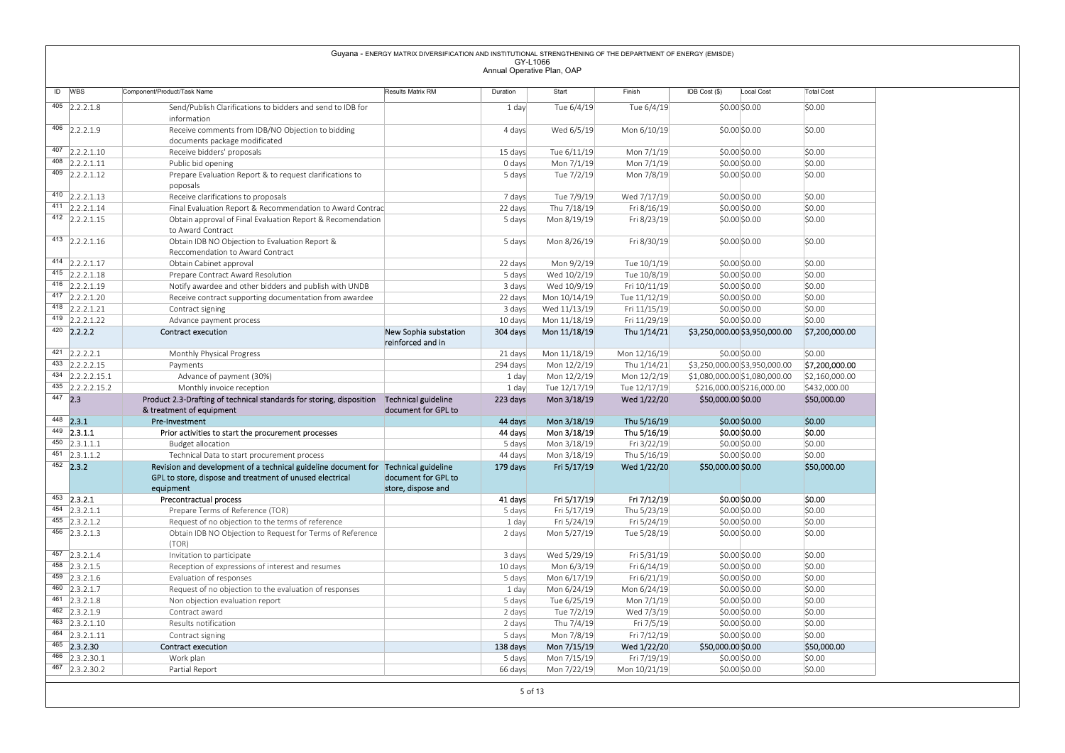|                     |                                               |                                                                                                                                                             | Guyana - ENERGY MATRIX DIVERSIFICATION AND INSTITUTIONAL STRENGTHENING OF THE DEPARTMENT OF ENERGY (EMISDE) |                                        |                              |                              |                                |                                                                |                                  |
|---------------------|-----------------------------------------------|-------------------------------------------------------------------------------------------------------------------------------------------------------------|-------------------------------------------------------------------------------------------------------------|----------------------------------------|------------------------------|------------------------------|--------------------------------|----------------------------------------------------------------|----------------------------------|
|                     |                                               |                                                                                                                                                             |                                                                                                             | GY-L1066<br>Annual Operative Plan, OAP |                              |                              |                                |                                                                |                                  |
|                     |                                               |                                                                                                                                                             |                                                                                                             |                                        |                              |                              |                                |                                                                |                                  |
| $\overline{ID}$ WBS |                                               | Component/Product/Task Name                                                                                                                                 | Results Matrix RM                                                                                           | Duration                               | Start                        | Finish                       | IDB Cost (\$)                  | Local Cost                                                     | <b>Total Cost</b>                |
|                     | $405$ 2.2.2.1.8                               | Send/Publish Clarifications to bidders and send to IDB for                                                                                                  |                                                                                                             | 1 day                                  | Tue 6/4/19                   | Tue 6/4/19                   |                                | \$0.00\$0.00                                                   | \$0.00                           |
|                     | 406 2.2.2.1.9                                 | information<br>Receive comments from IDB/NO Objection to bidding                                                                                            |                                                                                                             | 4 days                                 | Wed 6/5/19                   | Mon 6/10/19                  |                                | \$0.00\$0.00                                                   | \$0.00                           |
|                     |                                               | documents package modificated                                                                                                                               |                                                                                                             |                                        |                              |                              |                                |                                                                |                                  |
|                     | $407$ 2.2.2.1.10                              | Receive bidders' proposals                                                                                                                                  |                                                                                                             | 15 days                                | Tue 6/11/19                  | Mon 7/1/19                   |                                | \$0.00\$0.00                                                   | \$0.00                           |
|                     | $408$ 2.2.2.1.11<br>$409$ 2.2.2.1.12          | Public bid opening<br>Prepare Evaluation Report & to request clarifications to                                                                              |                                                                                                             | 0 days<br>5 days                       | Mon 7/1/19<br>Tue 7/2/19     | Mon 7/1/19<br>Mon 7/8/19     |                                | \$0.00\$0.00<br>\$0.00\$0.00                                   | \$0.00<br>\$0.00                 |
|                     |                                               | poposals                                                                                                                                                    |                                                                                                             |                                        |                              |                              |                                |                                                                |                                  |
|                     | 410 2.2.2.1.13                                | Receive clarifications to proposals                                                                                                                         |                                                                                                             | 7 days                                 | Tue 7/9/19                   | Wed 7/17/19                  |                                | \$0.00\$0.00                                                   | \$0.00                           |
|                     | $411$ 2.2.2.1.14<br>$412$ 2.2.2.1.15          | Final Evaluation Report & Recommendation to Award Contrac                                                                                                   |                                                                                                             | 22 days                                | Thu 7/18/19                  | Fri 8/16/19                  |                                | \$0.00\$0.00                                                   | \$0.00                           |
|                     |                                               | Obtain approval of Final Evaluation Report & Recomendation<br>to Award Contract                                                                             |                                                                                                             | 5 days                                 | Mon 8/19/19                  | Fri 8/23/19                  |                                | \$0.00\$0.00                                                   | \$0.00                           |
|                     | 413 $ 2.2.2.1.16$                             | Obtain IDB NO Objection to Evaluation Report &                                                                                                              |                                                                                                             | 5 days                                 | Mon 8/26/19                  | Fri 8/30/19                  |                                | \$0.00\$0.00                                                   | \$0.00                           |
|                     |                                               | Reccomendation to Award Contract                                                                                                                            |                                                                                                             |                                        |                              |                              |                                |                                                                |                                  |
|                     | 414 2.2.2.1.17<br>$415$ 2.2.2.1.18            | Obtain Cabinet approval<br>Prepare Contract Award Resolution                                                                                                |                                                                                                             | 22 days<br>5 days                      | Mon 9/2/19<br>Wed 10/2/19    | Tue 10/1/19<br>Tue 10/8/19   |                                | \$0.00\$0.00<br>\$0.00\$0.00                                   | \$0.00<br>\$0.00                 |
|                     | 416 $ 2.2.2.1.19$                             | Notify awardee and other bidders and publish with UNDB                                                                                                      |                                                                                                             | 3 days                                 | Wed 10/9/19                  | Fri 10/11/19                 |                                | \$0.00\$0.00                                                   | \$0.00                           |
|                     | $417$ 2.2.2.1.20                              | Receive contract supporting documentation from awardee                                                                                                      |                                                                                                             | 22 days                                | Mon 10/14/19                 | Tue 11/12/19                 |                                | \$0.00\$0.00                                                   | \$0.00                           |
|                     | 418 2.2.2.1.21<br>419 2.2.2.1.22              | Contract signing                                                                                                                                            |                                                                                                             | 3 days                                 | Wed 11/13/19                 | Fri 11/15/19<br>Fri 11/29/19 |                                | \$0.00\$0.00<br>\$0.00 \$0.00                                  | \$0.00<br>\$0.00                 |
|                     | $420$ 2.2.2.2                                 | Advance payment process<br>Contract execution                                                                                                               | New Sophia substation                                                                                       | 10 days<br>304 days                    | Mon 11/18/19<br>Mon 11/18/19 | Thu 1/14/21                  |                                | \$3,250,000.00 \$3,950,000.00 \$7,200,000.00                   |                                  |
|                     |                                               |                                                                                                                                                             | reinforced and in                                                                                           |                                        |                              |                              |                                |                                                                |                                  |
|                     | $421$ 2.2.2.2.1<br>433 2.2.2.2.15             | Monthly Physical Progress                                                                                                                                   |                                                                                                             | 21 days                                | Mon 11/18/19                 | Mon 12/16/19                 |                                | \$0.00 \$0.00                                                  | \$0.00                           |
|                     | $434$ 2.2.2.2.15.1                            | Payments<br>Advance of payment (30%)                                                                                                                        |                                                                                                             | 294 days<br>1 day                      | Mon 12/2/19<br>Mon 12/2/19   | Thu 1/14/21<br>Mon 12/2/19   |                                | \$3,250,000.00 \$3,950,000.00<br>\$1,080,000.00 \$1,080,000.00 | \$7,200,000.00<br>\$2,160,000.00 |
|                     | $435$ 2.2.2.2.15.2                            | Monthly invoice reception                                                                                                                                   |                                                                                                             | 1 day                                  | Tue 12/17/19                 | Tue 12/17/19                 | \$216,000.00 \$216,000.00      |                                                                | \$432,000.00                     |
| $447$ 2.3           |                                               | Product 2.3-Drafting of technical standards for storing, disposition                                                                                        | Technical guideline                                                                                         | 223 days                               | Mon 3/18/19                  | Wed 1/22/20                  | \$50,000.00 \$0.00             |                                                                | \$50,000.00                      |
|                     | $448$ 2.3.1                                   | & treatment of equipment<br>Pre-Investment                                                                                                                  | document for GPL to                                                                                         | 44 days                                | Mon 3/18/19                  | Thu 5/16/19                  |                                | \$0.00 \$0.00                                                  | \$0.00                           |
|                     | $449$ 2.3.1.1                                 | Prior activities to start the procurement processes                                                                                                         |                                                                                                             | 44 days                                | Mon 3/18/19                  | Thu 5/16/19                  | \$0.00 \$0.00                  |                                                                | \$0.00                           |
|                     | $450$ 2.3.1.1.1                               | <b>Budget allocation</b>                                                                                                                                    |                                                                                                             | 5 days                                 | Mon 3/18/19                  | Fri 3/22/19                  |                                | \$0.00 \$0.00                                                  | \$0.00                           |
|                     | $451$ 2.3.1.1.2                               | Technical Data to start procurement process                                                                                                                 |                                                                                                             | 44 days                                | Mon 3/18/19                  | Thu 5/16/19                  | \$0.00 \$0.00                  |                                                                | \$0.00                           |
|                     | $452$ 2.3.2                                   | Revision and development of a technical guideline document for Technical guideline<br>GPL to store, dispose and treatment of unused electrical<br>equipment | document for GPL to<br>store, dispose and                                                                   | 179 days                               | Fri 5/17/19                  | Wed 1/22/20                  | \$50,000.00 \$0.00             |                                                                | \$50,000.00                      |
|                     | $453$ 2.3.2.1                                 | Precontractual process                                                                                                                                      |                                                                                                             | 41 days                                | Fri 5/17/19                  | Fri 7/12/19                  | \$0.00 \$0.00                  |                                                                | \$0.00                           |
|                     | $454$ 2.3.2.1.1<br>$455$ 2.3.2.1.2            | Prepare Terms of Reference (TOR)<br>Request of no objection to the terms of reference                                                                       |                                                                                                             | 5 days<br>1 day                        | Fri 5/17/19<br>Fri 5/24/19   | Thu 5/23/19<br>Fri 5/24/19   | \$0.00 \$0.00                  | \$0.00 \$0.00                                                  | \$0.00<br>\$0.00                 |
|                     | $456$ 2.3.2.1.3                               | Obtain IDB NO Objection to Request for Terms of Reference                                                                                                   |                                                                                                             | 2 days                                 | Mon 5/27/19                  | Tue 5/28/19                  |                                | \$0.00 \$0.00                                                  | \$0.00                           |
|                     |                                               | (TOR)                                                                                                                                                       |                                                                                                             |                                        |                              |                              |                                |                                                                |                                  |
|                     | 457 2.3.2.1.4                                 | Invitation to participate                                                                                                                                   |                                                                                                             | 3 days                                 | Wed 5/29/19                  | Fri 5/31/19                  |                                | \$0.00\$0.00                                                   | \$0.00                           |
|                     | $458$ 2.3.2.1.5<br>459 2.3.2.1.6              | Reception of expressions of interest and resumes<br>Evaluation of responses                                                                                 |                                                                                                             | 10 days<br>5 days                      | Mon 6/3/19<br>Mon 6/17/19    | Fri 6/14/19<br>Fri 6/21/19   | \$0.00 \$0.00                  | \$0.00 \$0.00                                                  | \$0.00<br>\$0.00                 |
|                     | 460 2.3.2.1.7                                 | Request of no objection to the evaluation of responses                                                                                                      |                                                                                                             | 1 day                                  | Mon 6/24/19                  | Mon 6/24/19                  | \$0.00 \$0.00                  |                                                                | \$0.00                           |
|                     | $461$ 2.3.2.1.8                               | Non objection evaluation report                                                                                                                             |                                                                                                             | 5 days                                 | Tue 6/25/19                  | Mon 7/1/19                   | \$0.00 \$0.00                  |                                                                | \$0.00                           |
|                     | 462 2.3.2.1.9<br>463 2.3.2.1.10               | Contract award<br>Results notification                                                                                                                      |                                                                                                             | 2 days<br>2 days                       | Tue 7/2/19<br>Thu 7/4/19     | Wed 7/3/19<br>Fri 7/5/19     | \$0.00 \$0.00<br>\$0.00 \$0.00 |                                                                | \$0.00<br>\$0.00                 |
|                     | 464 2.3.2.1.11                                | Contract signing                                                                                                                                            |                                                                                                             | 5 days                                 | Mon 7/8/19                   | Fri 7/12/19                  |                                | \$0.00 \$0.00                                                  | \$0.00                           |
|                     |                                               | Contract execution                                                                                                                                          |                                                                                                             | 138 days                               | Mon 7/15/19                  | Wed 1/22/20                  | \$50,000.00 \$0.00             |                                                                | \$50,000.00                      |
|                     | 465 2.3.2.30                                  |                                                                                                                                                             |                                                                                                             |                                        | Mon 7/15/19                  |                              |                                | \$0.00 \$0.00                                                  | \$0.00                           |
|                     | $\overline{466}$ 2.3.2.30.1<br>467 2.3.2.30.2 | Work plan<br>Partial Report                                                                                                                                 |                                                                                                             | 5 days<br>66 days                      | Mon 7/22/19                  | Fri 7/19/19<br>Mon 10/21/19  |                                | \$0.00 \$0.00                                                  | \$0.00                           |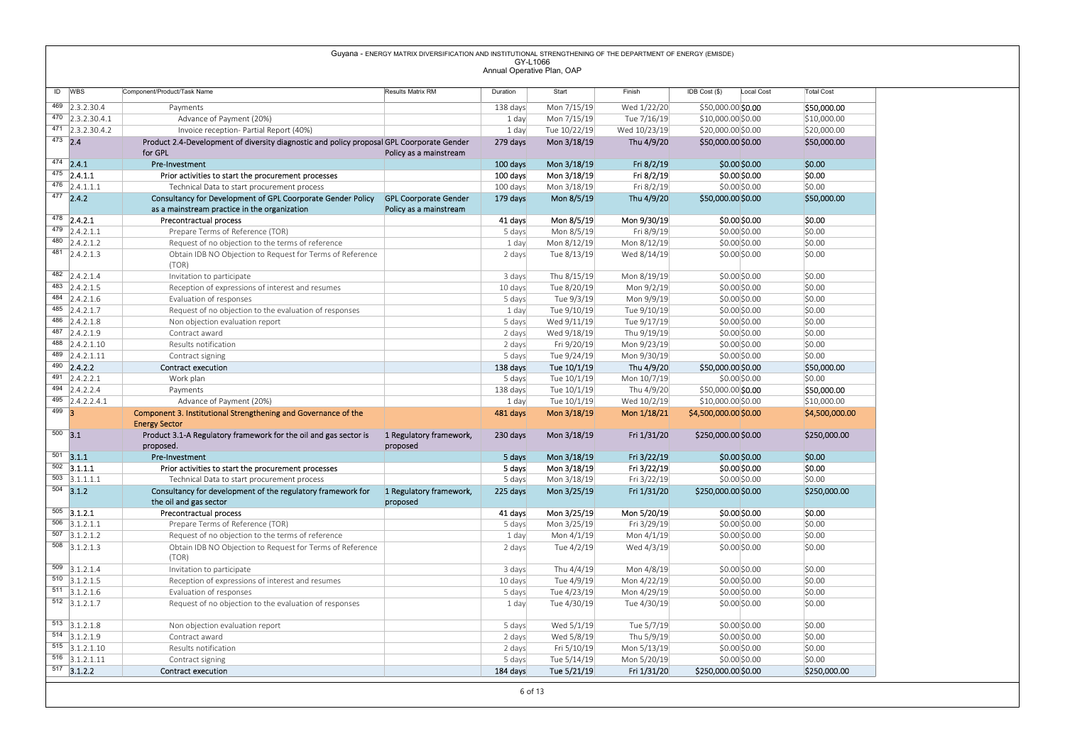|         |                                             | Guyana - ENERGY MATRIX DIVERSIFICATION AND INSTITUTIONAL STRENGTHENING OF THE DEPARTMENT OF ENERGY (EMISDE)                                                           | GY-L1066                   |                            |                            |                                      |                        |
|---------|---------------------------------------------|-----------------------------------------------------------------------------------------------------------------------------------------------------------------------|----------------------------|----------------------------|----------------------------|--------------------------------------|------------------------|
|         |                                             |                                                                                                                                                                       | Annual Operative Plan, OAP |                            |                            |                                      |                        |
|         | ID WBS                                      | Component/Product/Task Name<br>Results Matrix RM                                                                                                                      | Duration                   | Start                      | Finish                     | IDB Cost (\$)<br>Local Cost          | <b>Total Cost</b>      |
|         | 469 2.3.2.30.4                              | Payments                                                                                                                                                              | 138 days                   | Mon 7/15/19                | Wed 1/22/20                | \$50,000.00 \$0.00                   | \$50,000.00            |
|         | $\overline{470}$ 2.3.2.30.4.1               | Advance of Payment (20%)                                                                                                                                              | 1 day                      | Mon 7/15/19                | Tue 7/16/19                | \$10,000.00 \$0.00                   | \$10,000.00            |
|         | $\overline{471}$ 2.3.2.30.4.2               | Invoice reception- Partial Report (40%)                                                                                                                               | 1 day                      | Tue 10/22/19               | Wed 10/23/19               | \$20,000.00 \$0.00                   | \$20,000.00            |
|         | $473$ 2.4                                   | Product 2.4-Development of diversity diagnostic and policy proposal GPL Coorporate Gender<br>for GPL<br>Policy as a mainstream                                        | 279 days                   | Mon 3/18/19                | Thu 4/9/20                 | \$50,000.00 \$0.00                   | \$50,000.00            |
|         | $474$ 2.4.1                                 | Pre-Investment                                                                                                                                                        | 100 days                   | Mon 3/18/19                | Fri 8/2/19                 | \$0.00 \$0.00                        | \$0.00                 |
|         | $475$ 2.4.1.1                               | Prior activities to start the procurement processes                                                                                                                   | 100 days                   | Mon 3/18/19                | Fri 8/2/19                 | \$0.00 \$0.00                        | \$0.00                 |
|         | 476 $ 2.4.1.1.1$                            | Technical Data to start procurement process                                                                                                                           | 100 days                   | Mon 3/18/19                | Fri 8/2/19                 | \$0.00\$0.00                         | \$0.00                 |
|         | $477$ 2.4.2                                 | Consultancy for Development of GPL Coorporate Gender Policy<br><b>GPL Coorporate Gender</b><br>as a mainstream practice in the organization<br>Policy as a mainstream | 179 days                   | Mon 8/5/19                 | Thu 4/9/20                 | \$50,000.00 \$0.00                   | \$50,000.00            |
|         | $478$ 2.4.2.1                               | Precontractual process                                                                                                                                                | 41 days                    | Mon 8/5/19                 | Mon 9/30/19                | \$0.00 \$0.00                        | \$0.00                 |
|         | $479$ 2.4.2.1.1                             | Prepare Terms of Reference (TOR)                                                                                                                                      | 5 days                     | Mon 8/5/19                 | Fri 8/9/19                 | \$0.00\$0.00                         | \$0.00                 |
|         | $\overline{480}$ 2.4.2.1.2                  | Request of no objection to the terms of reference                                                                                                                     | 1 day                      | Mon 8/12/19                | Mon 8/12/19                | \$0.00\$0.00                         | \$0.00                 |
|         | $\overline{481}$ 2.4.2.1.3                  | Obtain IDB NO Objection to Request for Terms of Reference<br>(TOR)                                                                                                    | 2 days                     | Tue 8/13/19                | Wed 8/14/19                | \$0.00\$0.00                         | \$0.00                 |
|         | 482 2.4.2.1.4                               | Invitation to participate                                                                                                                                             | 3 days                     | Thu 8/15/19                | Mon 8/19/19                | \$0.00\$0.00                         | \$0.00                 |
|         | $483$ 2.4.2.1.5                             | Reception of expressions of interest and resumes                                                                                                                      | 10 days                    | Tue 8/20/19                | Mon 9/2/19                 | \$0.00\$0.00                         | \$0.00                 |
|         | 484 2.4.2.1.6                               | Evaluation of responses                                                                                                                                               | 5 days                     | Tue 9/3/19                 | Mon 9/9/19                 | \$0.00\$0.00                         | \$0.00                 |
|         | 485 2.4.2.1.7<br>$486$ 2.4.2.1.8            | Request of no objection to the evaluation of responses                                                                                                                | 1 day                      | Tue 9/10/19<br>Wed 9/11/19 | Tue 9/10/19<br>Tue 9/17/19 | \$0.00 \$0.00<br>\$0.00 \$0.00       | \$0.00<br>\$0.00       |
|         | $487$ 2.4.2.1.9                             | Non objection evaluation report<br>Contract award                                                                                                                     | 5 days<br>2 days           | Wed 9/18/19                | Thu 9/19/19                | \$0.00 \$0.00                        | \$0.00                 |
|         | 488 2.4.2.1.10                              | Results notification                                                                                                                                                  | 2 days                     | Fri 9/20/19                | Mon 9/23/19                | \$0.00 \$0.00                        | \$0.00                 |
|         | 489 2.4.2.1.11                              | Contract signing                                                                                                                                                      | 5 days                     | Tue 9/24/19                | Mon 9/30/19                | \$0.00 \$0.00                        | \$0.00                 |
|         | $490$ 2.4.2.2                               | <b>Contract execution</b>                                                                                                                                             | 138 days                   | Tue 10/1/19                | Thu 4/9/20                 | \$50,000.00 \$0.00                   | \$50,000.00            |
|         | $491$ 2.4.2.2.1<br>$494$ 2.4.2.2.4          | Work plan<br>Payments                                                                                                                                                 | 5 days<br>138 days         | Tue 10/1/19<br>Tue 10/1/19 | Mon 10/7/19<br>Thu 4/9/20  | \$0.00 \$0.00<br>\$50,000.00 \$0.00  | \$0.00<br>\$50,000.00  |
|         | $495$ 2.4.2.2.4.1                           | Advance of Payment (20%)                                                                                                                                              | 1 day                      | Tue 10/1/19                | Wed 10/2/19                | \$10,000.00 \$0.00                   | \$10,000.00            |
| $499$ 3 |                                             | Component 3. Institutional Strengthening and Governance of the                                                                                                        | 481 days                   | Mon 3/18/19                | Mon 1/18/21                | \$4,500,000.00 \$0.00                | \$4,500,000.00         |
|         |                                             | <b>Energy Sector</b>                                                                                                                                                  |                            |                            |                            |                                      |                        |
|         | $500$ 3.1                                   | Product 3.1-A Regulatory framework for the oil and gas sector is<br>1 Regulatory framework,<br>proposed.<br>proposed                                                  | 230 days                   | Mon 3/18/19                | Fri 1/31/20                | \$250,000.00 \$0.00                  | \$250,000.00           |
|         | $501$ 3.1.1                                 | Pre-Investment                                                                                                                                                        | 5 days                     | Mon 3/18/19                | Fri 3/22/19                | \$0.00 \$0.00                        | \$0.00                 |
|         | $502$ 3.1.1.1                               | Prior activities to start the procurement processes                                                                                                                   | 5 days                     | Mon 3/18/19                | Fri 3/22/19                | \$0.00 \$0.00                        | \$0.00                 |
|         |                                             |                                                                                                                                                                       | 5 days                     | Mon 3/18/19                | Fri 3/22/19                | \$0.00 \$0.00                        | \$0.00                 |
|         | $503$ 3.1.1.1.1                             | Technical Data to start procurement process                                                                                                                           |                            | Mon 3/25/19                | Fri 1/31/20                | \$250,000.00 \$0.00                  | \$250,000.00           |
|         | $504$ 3.1.2                                 | Consultancy for development of the regulatory framework for<br>1 Regulatory framework,                                                                                | 225 days                   |                            |                            |                                      |                        |
|         |                                             | the oil and gas sector<br>proposed                                                                                                                                    |                            |                            |                            |                                      |                        |
|         | $505$ 3.1.2.1<br>$\overline{506}$ 3.1.2.1.1 | Precontractual process<br>Prepare Terms of Reference (TOR)                                                                                                            | 41 days<br>5 days          | Mon 3/25/19<br>Mon 3/25/19 | Mon 5/20/19<br>Fri 3/29/19 | \$0.00 \$0.00<br>\$0.00 \$0.00       | \$0.00<br>\$0.00       |
|         | $507$ 3.1.2.1.2                             | Request of no objection to the terms of reference                                                                                                                     | 1 day                      | Mon 4/1/19                 | Mon 4/1/19                 | \$0.00 \$0.00                        | \$0.00                 |
|         | $508$ 3.1.2.1.3                             | Obtain IDB NO Objection to Request for Terms of Reference                                                                                                             | 2 days                     | Tue 4/2/19                 | Wed 4/3/19                 | \$0.00 \$0.00                        | \$0.00                 |
|         |                                             | (TOR)                                                                                                                                                                 |                            |                            |                            |                                      |                        |
|         | $509$ 3.1.2.1.4                             | Invitation to participate                                                                                                                                             | 3 days                     | Thu 4/4/19                 | Mon 4/8/19                 | \$0.00 \$0.00                        | \$0.00                 |
|         | $510$ 3.1.2.1.5<br>$511$ 3.1.2.1.6          | Reception of expressions of interest and resumes<br>Evaluation of responses                                                                                           | 10 days<br>5 days          | Tue 4/9/19<br>Tue 4/23/19  | Mon 4/22/19<br>Mon 4/29/19 | \$0.00 \$0.00<br>\$0.00 \$0.00       | \$0.00<br>\$0.00       |
|         | $512$ 3.1.2.1.7                             | Request of no objection to the evaluation of responses                                                                                                                | 1 day                      | Tue 4/30/19                | Tue 4/30/19                | \$0.00\$0.00                         | \$0.00                 |
|         |                                             |                                                                                                                                                                       |                            |                            |                            |                                      |                        |
|         | $513$ 3.1.2.1.8                             | Non objection evaluation report                                                                                                                                       | 5 days                     | Wed 5/1/19                 | Tue 5/7/19                 | \$0.00 \$0.00                        | \$0.00                 |
|         | $514$ 3.1.2.1.9<br>$515$ 3.1.2.1.10         | Contract award<br>Results notification                                                                                                                                | 2 days<br>2 days           | Wed 5/8/19<br>Fri 5/10/19  | Thu 5/9/19<br>Mon 5/13/19  | \$0.00 \$0.00<br>\$0.00 \$0.00       | \$0.00<br>\$0.00       |
|         | $516$ 3.1.2.1.11<br>$517$ 3.1.2.2           | Contract signing<br><b>Contract execution</b>                                                                                                                         | 5 days<br>184 days         | Tue 5/14/19<br>Tue 5/21/19 | Mon 5/20/19<br>Fri 1/31/20 | \$0.00 \$0.00<br>\$250,000.00 \$0.00 | \$0.00<br>\$250,000.00 |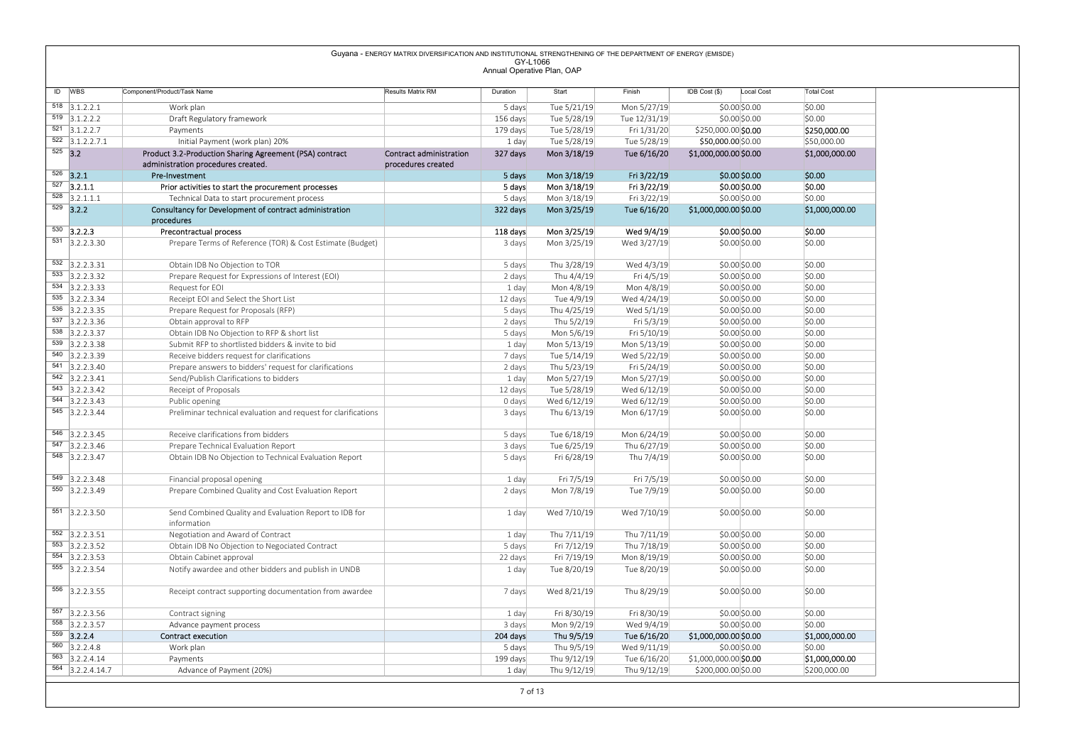|                                                 |                                                                                                 | Guyana - ENERGY MATRIX DIVERSIFICATION AND INSTITUTIONAL STRENGTHENING OF THE DEPARTMENT OF ENERGY (EMISDE) | GY-L1066                   |                            |                            |                                              |                                |
|-------------------------------------------------|-------------------------------------------------------------------------------------------------|-------------------------------------------------------------------------------------------------------------|----------------------------|----------------------------|----------------------------|----------------------------------------------|--------------------------------|
|                                                 |                                                                                                 |                                                                                                             | Annual Operative Plan, OAP |                            |                            |                                              |                                |
| ID WBS                                          | Component/Product/Task Name                                                                     | Results Matrix RM                                                                                           | Duration                   | Start                      | Finish                     | IDB Cost (\$)<br>Local Cost                  | <b>Total Cost</b>              |
| $\overline{518}$ 3.1.2.2.1                      | Work plan                                                                                       |                                                                                                             | 5 days                     | Tue 5/21/19                | Mon 5/27/19                | \$0.00 \$0.00                                | \$0.00                         |
| $\overline{519}$ 3.1.2.2.2                      | Draft Regulatory framework                                                                      |                                                                                                             | 156 days                   | Tue 5/28/19                | Tue 12/31/19               | \$0.00\$0.00                                 | \$0.00                         |
| $\overline{521}$ 3.1.2.2.7                      | Payments                                                                                        |                                                                                                             | 179 days                   | Tue 5/28/19                | Fri 1/31/20                | \$250,000.00 \$0.00                          | \$250,000.00                   |
| $\overline{522}$ 3.1.2.2.7.1                    | Initial Payment (work plan) 20%                                                                 |                                                                                                             | 1 day                      | Tue 5/28/19                | Tue 5/28/19                | \$50,000.00 \$0.00                           | \$50,000.00                    |
| $525$ 3.2                                       | Product 3.2-Production Sharing Agreement (PSA) contract<br>administration procedures created.   | Contract administration<br>procedures created                                                               | 327 days                   | Mon 3/18/19                | Tue 6/16/20                | \$1,000,000.00 \$0.00                        | \$1,000,000.00                 |
| $526$ 3.2.1                                     | Pre-Investment                                                                                  |                                                                                                             | 5 days                     | Mon 3/18/19                | Fri 3/22/19                | \$0.00 \$0.00                                | \$0.00                         |
| $527$ 3.2.1.1                                   | Prior activities to start the procurement processes                                             |                                                                                                             | 5 days                     | Mon 3/18/19                | Fri 3/22/19                | \$0.00 \$0.00                                | \$0.00                         |
| $\overline{528}$ 3.2.1.1.1                      | Technical Data to start procurement process                                                     |                                                                                                             | 5 days                     | Mon 3/18/19                | Fri 3/22/19                | \$0.00 \$0.00                                | \$0.00                         |
| $529$ 3.2.2                                     | Consultancy for Development of contract administration<br>procedures                            |                                                                                                             | 322 days                   | Mon 3/25/19                | Tue 6/16/20                | \$1,000,000.00 \$0.00                        | \$1,000,000.00                 |
| $\overline{530}$ 3.2.2.3                        | Precontractual process                                                                          |                                                                                                             | 118 days                   | Mon 3/25/19                | Wed 9/4/19                 | \$0.00 \$0.00                                | \$0.00                         |
| $\overline{531}$ 3.2.2.3.30                     | Prepare Terms of Reference (TOR) & Cost Estimate (Budget)                                       |                                                                                                             | 3 days                     | Mon 3/25/19                | Wed 3/27/19                | \$0.00 \$0.00                                | \$0.00                         |
|                                                 |                                                                                                 |                                                                                                             |                            |                            |                            |                                              |                                |
| $\overline{532}$ 3.2.2.3.31<br>$533$ 3.2.2.3.32 | Obtain IDB No Objection to TOR                                                                  |                                                                                                             | 5 days                     | Thu 3/28/19<br>Thu 4/4/19  | Wed 4/3/19                 | \$0.00\$0.00<br>\$0.00\$0.00                 | \$0.00<br>\$0.00               |
| 534 3.2.2.3.33                                  | Prepare Request for Expressions of Interest (EOI)<br>Request for EOI                            |                                                                                                             | 2 days<br>1 day            | Mon 4/8/19                 | Fri 4/5/19<br>Mon 4/8/19   | \$0.00\$0.00                                 | \$0.00                         |
| $535$ 3.2.2.3.34                                | Receipt EOI and Select the Short List                                                           |                                                                                                             | 12 days                    | Tue 4/9/19                 | Wed 4/24/19                | \$0.00\$0.00                                 | \$0.00                         |
| 536 3.2.2.3.35                                  | Prepare Request for Proposals (RFP)                                                             |                                                                                                             | 5 days                     | Thu 4/25/19                | Wed 5/1/19                 | \$0.00\$0.00                                 | \$0.00                         |
| 537 3.2.2.3.36                                  | Obtain approval to RFP                                                                          |                                                                                                             | 2 days                     | Thu 5/2/19                 | Fri 5/3/19                 | \$0.00 \$0.00                                | \$0.00                         |
| $538$ 3.2.2.3.37<br>$\overline{539}$ 3.2.2.3.38 | Obtain IDB No Objection to RFP & short list                                                     |                                                                                                             | 5 days                     | Mon 5/6/19                 | Fri 5/10/19                | \$0.00 \$0.00                                | \$0.00                         |
| 540 3.2.2.3.39                                  | Submit RFP to shortlisted bidders & invite to bid<br>Receive bidders request for clarifications |                                                                                                             | 1 day<br>7 days            | Mon 5/13/19<br>Tue 5/14/19 | Mon 5/13/19<br>Wed 5/22/19 | \$0.00 \$0.00<br>\$0.00 \$0.00               | \$0.00<br>\$0.00               |
| $541$ 3.2.2.3.40                                | Prepare answers to bidders' request for clarifications                                          |                                                                                                             | 2 days                     | Thu 5/23/19                | Fri 5/24/19                | \$0.00 \$0.00                                | \$0.00                         |
| 542 3.2.2.3.41                                  | Send/Publish Clarifications to bidders                                                          |                                                                                                             | 1 day                      | Mon 5/27/19                | Mon 5/27/19                | \$0.00 \$0.00                                | \$0.00                         |
| $543$ 3.2.2.3.42                                | Receipt of Proposals                                                                            |                                                                                                             | 12 days                    | Tue 5/28/19                | Wed 6/12/19                | \$0.00 \$0.00                                | \$0.00                         |
| $544$ 3.2.2.3.43<br>$545$ 3.2.2.3.44            | Public opening<br>Preliminar technical evaluation and request for clarifications                |                                                                                                             | 0 days                     | Wed 6/12/19                | Wed 6/12/19                | \$0.00 \$0.00                                | \$0.00                         |
|                                                 |                                                                                                 |                                                                                                             | 3 days                     | Thu 6/13/19                | Mon 6/17/19                | \$0.00 \$0.00                                | \$0.00                         |
| $546$ 3.2.2.3.45                                | Receive clarifications from bidders                                                             |                                                                                                             | 5 days                     | Tue 6/18/19                | Mon 6/24/19                | \$0.00 \$0.00                                | \$0.00                         |
| $\overline{547}$ 3.2.2.3.46                     | Prepare Technical Evaluation Report                                                             |                                                                                                             | 3 days                     | Tue 6/25/19                | Thu 6/27/19                | \$0.00 \$0.00                                | \$0.00                         |
| 548 3.2.2.3.47                                  | Obtain IDB No Objection to Technical Evaluation Report                                          |                                                                                                             | 5 days                     | Fri 6/28/19                | Thu 7/4/19                 | \$0.00 \$0.00                                | \$0.00                         |
| $549$ 3.2.2.3.48                                | Financial proposal opening                                                                      |                                                                                                             | 1 day                      | Fri 7/5/19                 | Fri 7/5/19                 | \$0.00\$0.00                                 | \$0.00                         |
| 550 3.2.2.3.49                                  | Prepare Combined Quality and Cost Evaluation Report                                             |                                                                                                             | 2 days                     | Mon 7/8/19                 | Tue 7/9/19                 | \$0.00 \$0.00                                | \$0.00                         |
|                                                 |                                                                                                 |                                                                                                             |                            |                            |                            |                                              |                                |
| $551$ 3.2.2.3.50                                | Send Combined Quality and Evaluation Report to IDB for                                          |                                                                                                             | 1 day                      | Wed 7/10/19                | Wed 7/10/19                | \$0.00 \$0.00                                | \$0.00                         |
|                                                 | information                                                                                     |                                                                                                             |                            |                            |                            |                                              |                                |
| $552$ 3.2.2.3.51<br>$553$ 3.2.2.3.52            | Negotiation and Award of Contract<br>Obtain IDB No Objection to Negociated Contract             |                                                                                                             | 1 day<br>5 days            | Thu 7/11/19<br>Fri 7/12/19 | Thu 7/11/19<br>Thu 7/18/19 | \$0.00 \$0.00<br>\$0.00 \$0.00               | \$0.00<br>\$0.00               |
| 554 3.2.2.3.53                                  | Obtain Cabinet approval                                                                         |                                                                                                             | 22 days                    | Fri 7/19/19                | Mon 8/19/19                | \$0.00 \$0.00                                | \$0.00                         |
| $555$ 3.2.2.3.54                                | Notify awardee and other bidders and publish in UNDB                                            |                                                                                                             | 1 day                      | Tue 8/20/19                | Tue 8/20/19                | \$0.00 \$0.00                                | \$0.00                         |
|                                                 |                                                                                                 |                                                                                                             |                            |                            |                            |                                              |                                |
|                                                 | Receipt contract supporting documentation from awardee                                          |                                                                                                             | 7 days                     | Wed 8/21/19                | Thu 8/29/19                | \$0.00 \$0.00                                | \$0.00                         |
| 556 3.2.2.3.55                                  | Contract signing                                                                                |                                                                                                             | 1 day                      | Fri 8/30/19                | Fri 8/30/19                | \$0.00 \$0.00                                | \$0.00                         |
|                                                 |                                                                                                 |                                                                                                             | 3 days                     | Mon 9/2/19                 | Wed 9/4/19                 | \$0.00 \$0.00                                | \$0.00                         |
|                                                 | Advance payment process                                                                         |                                                                                                             | 204 days                   | Thu 9/5/19                 | Tue 6/16/20                | \$1,000,000.00 \$0.00                        | \$1,000,000.00                 |
| 558 3.2.2.3.57<br>$559$ 3.2.2.4                 | Contract execution                                                                              |                                                                                                             |                            |                            |                            |                                              | \$0.00                         |
| 557 3.2.2.3.56<br>$560$ 3.2.2.4.8               | Work plan                                                                                       |                                                                                                             | 5 days                     | Thu 9/5/19                 | Wed 9/11/19                | \$0.00 \$0.00                                |                                |
| $\overline{563}$ 3.2.2.4.14<br>564 3.2.2.4.14.7 | Payments<br>Advance of Payment (20%)                                                            |                                                                                                             | 199 days<br>1 day          | Thu 9/12/19<br>Thu 9/12/19 | Tue 6/16/20<br>Thu 9/12/19 | \$1,000,000.00 \$0.00<br>\$200,000.00 \$0.00 | \$1,000,000.00<br>\$200,000.00 |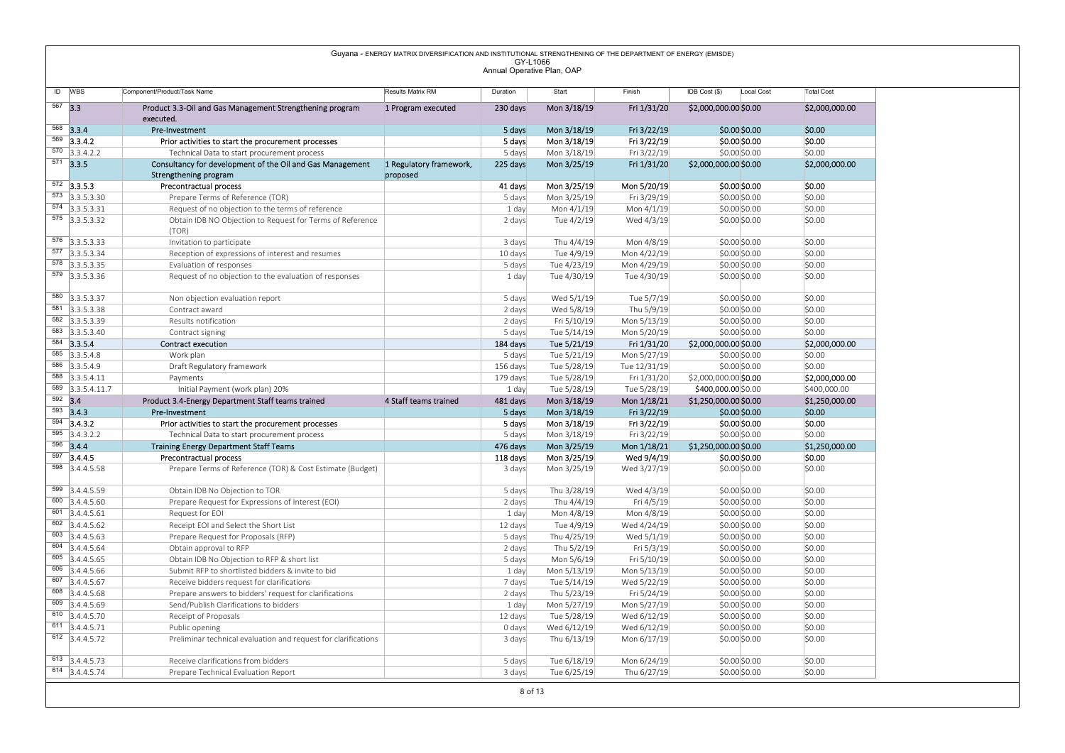|                                                                                                    |                                                                                                    | Guyana - ENERGY MATRIX DIVERSIFICATION AND INSTITUTIONAL STRENGTHENING OF THE DEPARTMENT OF ENERGY (EMISDE) | GY-L1066                   |                            |                            |                                              |                                |
|----------------------------------------------------------------------------------------------------|----------------------------------------------------------------------------------------------------|-------------------------------------------------------------------------------------------------------------|----------------------------|----------------------------|----------------------------|----------------------------------------------|--------------------------------|
|                                                                                                    |                                                                                                    |                                                                                                             | Annual Operative Plan, OAP |                            |                            |                                              |                                |
| ID WBS                                                                                             | Component/Product/Task Name                                                                        | Results Matrix RM                                                                                           | Duration                   | Start                      | Finish                     | IDB Cost (\$)<br>Local Cost                  | <b>Total Cost</b>              |
| $567$ 3.3                                                                                          | Product 3.3-Oil and Gas Management Strengthening program<br>executed.                              | 1 Program executed                                                                                          | 230 days                   | Mon 3/18/19                | Fri 1/31/20                | \$2,000,000.00 \$0.00                        | \$2,000,000.00                 |
| 568 3.3.4                                                                                          | Pre-Investment                                                                                     |                                                                                                             | 5 days                     | Mon 3/18/19                | Fri 3/22/19                | \$0.00 \$0.00                                | \$0.00                         |
| $569$ 3.3.4.2<br>$\overline{570}$ 3.3.4.2.2                                                        | Prior activities to start the procurement processes<br>Technical Data to start procurement process |                                                                                                             | 5 days<br>5 days           | Mon 3/18/19<br>Mon 3/18/19 | Fri 3/22/19<br>Fri 3/22/19 | \$0.00 \$0.00<br>\$0.00 \$0.00               | \$0.00<br>\$0.00               |
| $571$ 3.3.5                                                                                        | Consultancy for development of the Oil and Gas Management                                          | 1 Regulatory framework,                                                                                     | 225 days                   | Mon 3/25/19                | Fri 1/31/20                | \$2,000,000.00 \$0.00                        | \$2,000,000.00                 |
|                                                                                                    | Strengthening program                                                                              | proposed                                                                                                    |                            |                            |                            |                                              |                                |
| $572$ 3.3.5.3<br>$\overline{573}$ 3.3.5.3.30                                                       | Precontractual process<br>Prepare Terms of Reference (TOR)                                         |                                                                                                             | 41 days<br>5 days          | Mon 3/25/19<br>Mon 3/25/19 | Mon 5/20/19<br>Fri 3/29/19 | \$0.00 \$0.00<br>\$0.00 \$0.00               | \$0.00<br>\$0.00               |
| $574$ 3.3.5.3.31                                                                                   | Request of no objection to the terms of reference                                                  |                                                                                                             | 1 day                      | Mon 4/1/19                 | Mon 4/1/19                 | \$0.00 \$0.00                                | \$0.00                         |
| $\overline{575}$ 3.3.5.3.32                                                                        | Obtain IDB NO Objection to Request for Terms of Reference                                          |                                                                                                             | 2 days                     | Tue 4/2/19                 | Wed 4/3/19                 | \$0.00 \$0.00                                | \$0.00                         |
| $576$ 3.3.5.3.33                                                                                   | (TOR)<br>Invitation to participate                                                                 |                                                                                                             | 3 days                     | Thu 4/4/19                 | Mon 4/8/19                 | \$0.00 \$0.00                                | \$0.00                         |
| $\overline{577}$ 3.3.5.3.34                                                                        | Reception of expressions of interest and resumes                                                   |                                                                                                             | 10 days                    | Tue 4/9/19                 | Mon 4/22/19                | \$0.00 \$0.00                                | \$0.00                         |
| 578 3.3.5.3.35<br>$579$ 3.3.5.3.36                                                                 | Evaluation of responses<br>Request of no objection to the evaluation of responses                  |                                                                                                             | 5 days<br>1 day            | Tue 4/23/19<br>Tue 4/30/19 | Mon 4/29/19<br>Tue 4/30/19 | \$0.00 \$0.00<br>\$0.00 \$0.00               | \$0.00<br>\$0.00               |
|                                                                                                    |                                                                                                    |                                                                                                             |                            |                            |                            |                                              |                                |
| 580 3.3.5.3.37                                                                                     | Non objection evaluation report                                                                    |                                                                                                             | 5 days                     | Wed 5/1/19                 | Tue 5/7/19                 | \$0.00\$0.00                                 | \$0.00                         |
| $\overline{581}$ 3.3.5.3.38<br>$\overline{582}$ 3.3.5.3.39                                         | Contract award<br>Results notification                                                             |                                                                                                             | 2 days<br>2 days           | Wed 5/8/19<br>Fri 5/10/19  | Thu 5/9/19<br>Mon 5/13/19  | \$0.00\$0.00<br>\$0.00\$0.00                 | \$0.00<br>\$0.00               |
| 583 3.3.5.3.40                                                                                     | Contract signing                                                                                   |                                                                                                             | 5 days                     | Tue 5/14/19                | Mon 5/20/19                | \$0.00 \$0.00                                | \$0.00                         |
| $584$ 3.3.5.4<br>$585$ 3.3.5.4.8                                                                   | <b>Contract execution</b><br>Work plan                                                             |                                                                                                             | 184 days<br>5 days         | Tue 5/21/19<br>Tue 5/21/19 | Fri 1/31/20<br>Mon 5/27/19 | \$2,000,000.00 \$0.00<br>\$0.00 \$0.00       | \$2,000,000.00<br>\$0.00       |
| 586 3.3.5.4.9                                                                                      | Draft Regulatory framework                                                                         |                                                                                                             | 156 days                   | Tue 5/28/19                | Tue 12/31/19               | \$0.00 \$0.00                                | \$0.00                         |
| 588 3.3.5.4.11                                                                                     | Payments                                                                                           |                                                                                                             | 179 days                   | Tue 5/28/19                | Fri 1/31/20                | \$2,000,000.00 \$0.00                        | \$2,000,000.00                 |
| $\overline{589}$ 3.3.5.4.11.7<br>$592$ 3.4                                                         | Initial Payment (work plan) 20%<br>Product 3.4-Energy Department Staff teams trained               | 4 Staff teams trained                                                                                       | 1 day<br>481 days          | Tue 5/28/19<br>Mon 3/18/19 | Tue 5/28/19<br>Mon 1/18/21 | \$400,000.00 \$0.00<br>\$1,250,000.00 \$0.00 | \$400,000.00<br>\$1,250,000.00 |
| $593$ 3.4.3                                                                                        | Pre-Investment                                                                                     |                                                                                                             | 5 days                     | Mon 3/18/19                | Fri 3/22/19                | \$0.00 \$0.00                                | \$0.00                         |
| $594$ 3.4.3.2                                                                                      | Prior activities to start the procurement processes                                                |                                                                                                             | 5 days                     | Mon 3/18/19                | Fri 3/22/19                | \$0.00 \$0.00                                | \$0.00                         |
| $595$ 3.4.3.2.2<br>596 3.4.4                                                                       | Technical Data to start procurement process<br><b>Training Energy Department Staff Teams</b>       |                                                                                                             | 5 days<br>476 days         | Mon 3/18/19<br>Mon 3/25/19 | Fri 3/22/19<br>Mon 1/18/21 | \$0.00 \$0.00<br>\$1,250,000.00 \$0.00       | \$0.00<br>\$1,250,000.00       |
| $\overline{597}$ 3.4.4.5                                                                           | Precontractual process                                                                             |                                                                                                             | 118 days                   | Mon 3/25/19                | Wed 9/4/19                 | \$0.00 \$0.00                                | \$0.00                         |
| $\overline{598}$ 3.4.4.5.58                                                                        | Prepare Terms of Reference (TOR) & Cost Estimate (Budget)                                          |                                                                                                             | 3 days                     | Mon 3/25/19                | Wed 3/27/19                | \$0.00 \$0.00                                | \$0.00                         |
| 599 3.4.4.5.59                                                                                     | Obtain IDB No Objection to TOR                                                                     |                                                                                                             | 5 days                     | Thu 3/28/19                | Wed 4/3/19                 | \$0.00 \$0.00                                | \$0.00                         |
| $\overline{600}$ 3.4.4.5.60                                                                        | Prepare Request for Expressions of Interest (EOI)                                                  |                                                                                                             | 2 days                     | Thu 4/4/19                 | Fri 4/5/19                 | \$0.00 \$0.00                                | \$0.00                         |
| $\overline{601}$ 3.4.4.5.61<br>602 3.4.4.5.62                                                      | Request for EOI<br>Receipt EOI and Select the Short List                                           |                                                                                                             | 1 day                      | Mon 4/8/19<br>Tue 4/9/19   | Mon 4/8/19<br>Wed 4/24/19  | \$0.00 \$0.00<br>\$0.00 \$0.00               | \$0.00<br>\$0.00               |
| $603$ 3.4.4.5.63                                                                                   | Prepare Request for Proposals (RFP)                                                                |                                                                                                             | 12 days<br>5 days          | Thu 4/25/19                | Wed 5/1/19                 | \$0.00 \$0.00                                | \$0.00                         |
| 604 3.4.4.5.64                                                                                     | Obtain approval to RFP                                                                             |                                                                                                             | 2 days                     | Thu 5/2/19                 | Fri 5/3/19                 | \$0.00 \$0.00                                | \$0.00                         |
| 605 3.4.4.5.65<br>606 3.4.4.5.66                                                                   | Obtain IDB No Objection to RFP & short list<br>Submit RFP to shortlisted bidders & invite to bid   |                                                                                                             | 5 days<br>1 day            | Mon 5/6/19<br>Mon 5/13/19  | Fri 5/10/19<br>Mon 5/13/19 | \$0.00 \$0.00<br>\$0.00 \$0.00               | \$0.00<br>\$0.00               |
| 607 3.4.4.5.67                                                                                     | Receive bidders request for clarifications                                                         |                                                                                                             | 7 days                     | Tue 5/14/19                | Wed 5/22/19                | \$0.00 \$0.00                                | \$0.00                         |
| $\overline{608}$ 3.4.4.5.68                                                                        | Prepare answers to bidders' request for clarifications                                             |                                                                                                             | 2 days                     | Thu 5/23/19                | Fri 5/24/19                | \$0.00 \$0.00                                | \$0.00                         |
| $\overline{609}$ 3.4.4.5.69<br>$\begin{array}{ c c c } \hline 610 & 3.4.4.5.70 \hline \end{array}$ | Send/Publish Clarifications to bidders<br>Receipt of Proposals                                     |                                                                                                             | 1 day<br>12 days           | Mon 5/27/19<br>Tue 5/28/19 | Mon 5/27/19<br>Wed 6/12/19 | \$0.00 \$0.00<br>\$0.00 \$0.00               | \$0.00<br>\$0.00               |
| $611$ 3.4.4.5.71                                                                                   | Public opening                                                                                     |                                                                                                             | 0 days                     | Wed 6/12/19                | Wed 6/12/19                | \$0.00 \$0.00                                | \$0.00                         |
| 612 3.4.4.5.72                                                                                     | Preliminar technical evaluation and request for clarifications                                     |                                                                                                             | 3 days                     | Thu 6/13/19                | Mon 6/17/19                | \$0.00 \$0.00                                | \$0.00                         |
|                                                                                                    | Receive clarifications from bidders                                                                |                                                                                                             |                            |                            |                            | \$0.00 \$0.00                                | \$0.00                         |
| $613$ 3.4.4.5.73                                                                                   |                                                                                                    |                                                                                                             | 5 days                     | Tue 6/18/19                | Mon 6/24/19                |                                              |                                |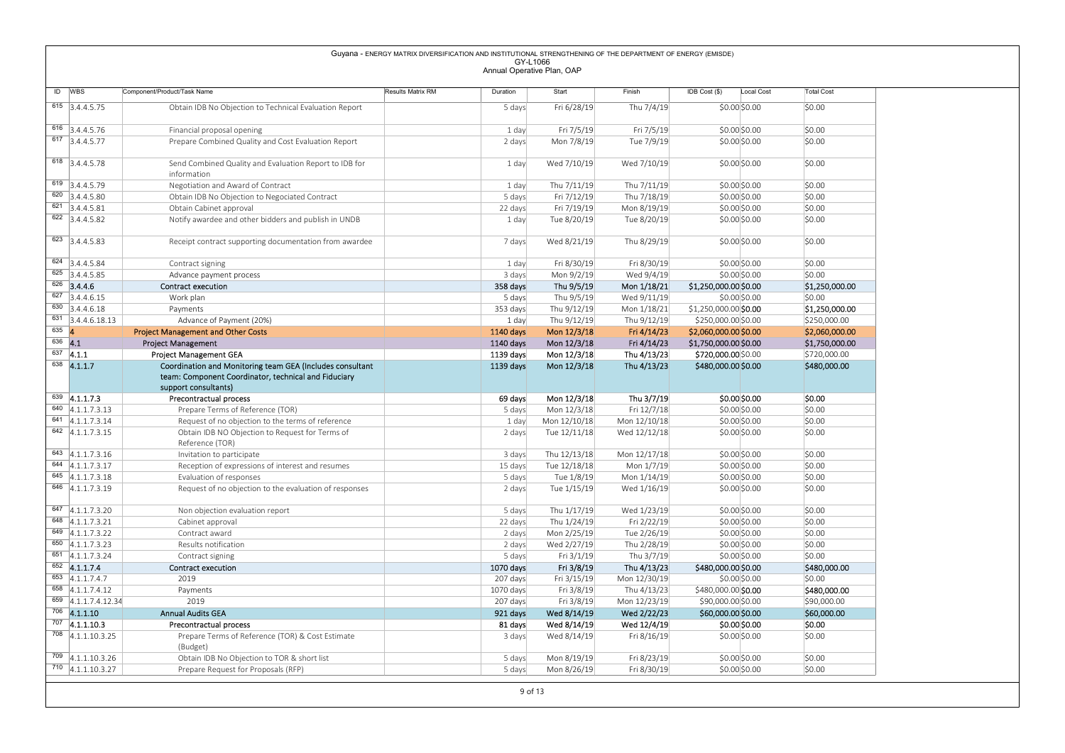Guyana - ENERGY MATRIX DIVERSIFICATION AND INSTITUTIONAL STREAGY-REMINITOR OF THE DEPARTMENT OF ENERGY (EMISOE)<br>
Matematic Decision (Secure Matrix) (Decision And The Control of The Control of The Control of The Control of<br> information<br>Negotiation and Award of Contract 1 day Wed 7/10/19 Wed 7/10/19 \$0.00|\$0.00 |\$0.00 <sup>619</sup> 3.4.4.5.79 Negotiation and Award of Contract 1 day Thu 7/11/19 Thu 7/11/19 \$0.00 \$0.00 \$0.00 620 3.4.4.5.80 Obtain IDB No Objection to Negociated Contract 5 days Fri 7/12/19 Thu 7/18/19 \$0.00 \$0.00 \$0.00 \$0.00 \$0.00 \$0.00 \$0.00 \$0.00 \$0.00 \$0.00 \$0.00 \$0.00 \$0.00 \$0.00 \$0.00 \$0.00 \$0.00 \$0.00 \$0.00 \$0.00 \$0.00 \$0. <sup>621</sup> 3.4.4.5.81 Obtain Cabinet approval 22 days Fri 7/19/19 Mon 8/19/19 \$0.00 \$0.00 \$0.00  $\frac{622}{3.4.4.5.82}$  Notify awardee and other bidders and publish in UNDB 1 day Tue 8/20/19 Tue 8/20/19 \$0.00 \$0.00 \$0.00 \$0.00 623 3.4.4.5.83 Receipt contract supporting documentation from awardee 7 days Wed 8/21/19 Thu 8/29/19 \$0.00 \$0.00 \$0.00 <sup>624</sup> 3.4.4.5.84 Contract signing 1 day Fri 8/30/19 Fri 8/30/19 \$0.00 \$0.00 \$0.00 <sup>625</sup> 3.4.4.5.85 Advance payment process 3 days Mon 9/2/19 Wed 9/4/19 \$0.00 \$0.00 \$0.00 <sup>626</sup> 3.4.4.6 Contract execution 358 days Thu 9/5/19 Mon 1/18/21 \$1,250,000.00 \$0.00 \$1,250,000.00 <sup>627</sup> 3.4.4.6.15 Work plan 5 days Thu 9/5/19 Wed 9/11/19 \$0.00 \$0.00 \$0.00 630 3.4.4.6.18 Payments Payments 20 20 20 20 353 days Thu 9/12/19 Mon 1/18/21 \$1,250,000.00 \$**0.00 \$1,250,000.00** <sup>631</sup> 3.4.4.6.18.13 Advance of Payment (20%) 1 day Thu 9/12/19 Thu 9/12/19 \$250,000.00 \$0.00 \$250,000.00  $\frac{635}{1140 \text{ days}}$  Project Management and Other Costs 1140 days Mon 12/3/18 Fri 4/14/23 \$2,060,000.00 \$0.00 \$2,060,000.00 \$2,060,000.00 \$2,060,000.00 \$1,750,000.00 \$1,750,000.00 \$1,750,000.00 \$1,750,000.00 \$1,750,000.00 \$ 636 4.1 Project Management 2002 Contract Management 1140 days Mon 12/3/18 Fri 4/14/23 \$1,750,000.00 \$0.00 \$1,750,000.00 \$1,750,000.00 \$1,750,000.00 \$1,750,000.00 \$1,750,000.00 \$1,750,000 \$1,750,000.00 \$1,750,000.00 \$1,750, <sup>637</sup> 4.1.1 Project Management GEA 1139 days Mon 12/3/18 Thu 4/13/23 \$720,000.00 \$0.00 \$720,000.00 <sup>638</sup> 4.1.1.7 Coordination and Monitoring team GEA (Includes consultant team: Component Coordinator, technical and Fiduciary support consultants)<br><sup>639</sup> 4.1.1.7.3 Precontractual process 1139 days Mon 12/3/18 Thu 4/13/23 \$480,000.00 \$0.00 \$480,000.00 639 |4.1.1.7.3 | Precontractual process 69 days Mon 12/3/18 Thu 3/7/19 \$0.00,\$0.00 \$0.00 \$0.00 P\$0.00 \$0.00 \$0.00 \$0.00 \$0.00 \$0.00 \$0.00 \$0.00 \$0.00 \$0.00 \$0.00 \$0.00 \$0.00 \$0.00 \$0.00 \$0.00 \$0.00 \$0.00 \$0.00 \$0.00 \$0.00 640 4.1.1.7.3.13 Prepare Terms of Reference (TOR) 5 days Mon 12/3/18 Fri 12/7/18 \$0.00 \$0.00 \$0.00 \$0.00 \$0.00 \$0.00 \$0.00 \$0.00 \$0.00 \$0.00 \$0.00 \$0.00 \$0.00 \$0.00 \$0.00 \$0.00 \$0.00 \$0.00 \$0.00 \$0.00 \$0.00 \$0.00 \$0.00 \$0.  $\frac{641}{4.1.1.7.3.14}$  Request of no objection to the terms of reference  $\frac{1 \text{ day}}{2 \text{ days}}$  Mon 12/10/18 Mon 12/10/18 \$0.00 \$0.00 \$0.00 \$0.00 \$0.00 \$0.00 \$0.00 \$0.00 \$0.00 \$0.00 \$0.00 \$0.00 \$0.00 \$0.00 \$0.00 \$0.00 \$0.00 \$ Obtain IDB NO Objection to Request for Terms of Reference (TOR) 2 days Tue 12/11/18 Wed 12/12/18 \$0.00 \$0.00 \$0.00 643 4.1.1.7.3.16 Invitation to participate 3 days 1hu 12/13/18 Mon 12/17/18 \$0.00 \$0.00 \$0.00 \$0.00 hot and the state of the state of the state of the state of the state of the state of the state of the state of the state 844 4.1.1.7.3.17 Reception of expressions of interest and resumes 15 days Tue 12/18/18 Mon 1/7/19 \$0.00 \$0.00 \$0.00 \$0.00 \$0.00 \$0.00 \$0.00 \$0.00 \$0.00 \$0.00 \$0.00 \$0.00 \$0.00 \$0.00 \$0.00 \$0.00 \$0.00 \$0.00 \$0.00 \$0.00 \$0.0 <sup>645</sup> 4.1.1.7.3.18 Evaluation of responses 5 days Tue 1/8/19 Mon 1/14/19 \$0.00 \$0.00 \$0.00 646 4.1.1.7.3.19 Request of no objection to the evaluation of responses 2 days Tue 1/15/19 Wed 1/16/19 \$0.00 \$0.00 \$0.00 847 4.1.1.7.3.20 10 Non objection evaluation report 5 days Thu 1/17/19 Wed 1/23/19 50.00 \$0.00 \$0.00 \$0.00 \$0.00 \$0.00 \$0.00 \$0.00 \$0.00 \$0.00 \$0.00 \$0.00 \$0.00 \$0.00 \$0.00 \$0.00 \$0.00 \$0.00 \$0.00 \$0.00 \$0.00 \$0.00 \$0.00 \$ <sup>648</sup> 4.1.1.7.3.21 Cabinet approval 22 days Thu 1/24/19 Fri 2/22/19 \$0.00 \$0.00 \$0.00 <sup>649</sup> 4.1.1.7.3.22 Contract award 2 days Mon 2/25/19 Tue 2/26/19 \$0.00 \$0.00 \$0.00 <sup>650</sup> 4.1.1.7.3.23 Results notification 2 days Wed 2/27/19 Thu 2/28/19 \$0.00 \$0.00 \$0.00 <sup>651</sup> 4.1.1.7.3.24 Contract signing 5 days Fri 3/1/19 Thu 3/7/19 \$0.00 \$0.00 \$0.00  $^{652}$  <code>4.1.1.7.4 contract execution 1070 days Fri 3/8/19 Thu 4/13/23 \$480,000.00</code> \$0.000 \$480,000.00 \$480,000.00 \$480,000.00 \$480,000.00 \$480,000.00  $\,$ <sup>653</sup> 4.1.1.7.4.7 2019 207 days Fri 3/15/19 Mon 12/30/19 \$0.00 \$0.00 \$0.00 658 4.1.1.7.4.12 Payments Payments Payments Payments 1070 days Fri 3/8/19 Thu 4/13/23 \$480,000.00 \$**0.00 \$480,000.00** \$**480,000.00** <sup>659</sup> 4.1.1.7.4.12.34 2019 207 days Fri 3/8/19 Mon 12/23/19 \$90,000.00 \$0.00 \$90,000.00 <sup>706</sup> 4.1.1.10 Annual Audits GEA 921 days Wed 8/14/19 Wed 2/22/23 \$60,000.00 \$0.00 \$60,000.00  $^{707}$  |4.1.1.10.3  $\hskip1cm$ Precontractual process  $\hskip1cm$   $\hskip1cm$   $\hskip1cm$   $\hskip1cm$  81 days Wed 8/14/19  $\hskip1cm$  Wed 12/4/19  $\hskip1cm$  \$0.00 $\hskip1cm$  \$0.00  $\hskip1cm$  \$0.00 <sup>708</sup> 4.1.1.10.3.25 Prepare Terms of Reference (TOR) & Cost Estimate (Budget) 3 days Wed 8/14/19 Fri 8/16/19 \$0.00 \$0.00 \$0.00 709 4.1.1.10.3.26 (abtain IDB No Objection to TOR & short list Contact To Stays Mon 8/19/19 Fri 8/23/19 \$0.00 \$0.00 \$0.00 \$0.00 \$0.00 \$0.00 \$0.00 \$0.00 \$0.00 \$0.00 \$0.00 \$0.00 \$0.00 \$0.00 \$0.00 \$0.00 \$0.00 \$0.00 \$0.00 \$0.0 Prepare Request for Proposals (RFP) 5 days Mon 8/26/19 Fri 8/30/19 \$0.00 \$0.00 \$0.00 \$0.00 \$0.00 \$0.00 \$0.00 \$0.00 \$0.00 \$0.00 \$0.00 \$0.00 \$0.00 \$0.00 \$0.00 \$0.00 \$0.00 \$0.00 \$0.00 \$0.00 \$0.00 \$0.00 \$0.00 \$0.00 \$0.00 \$0.00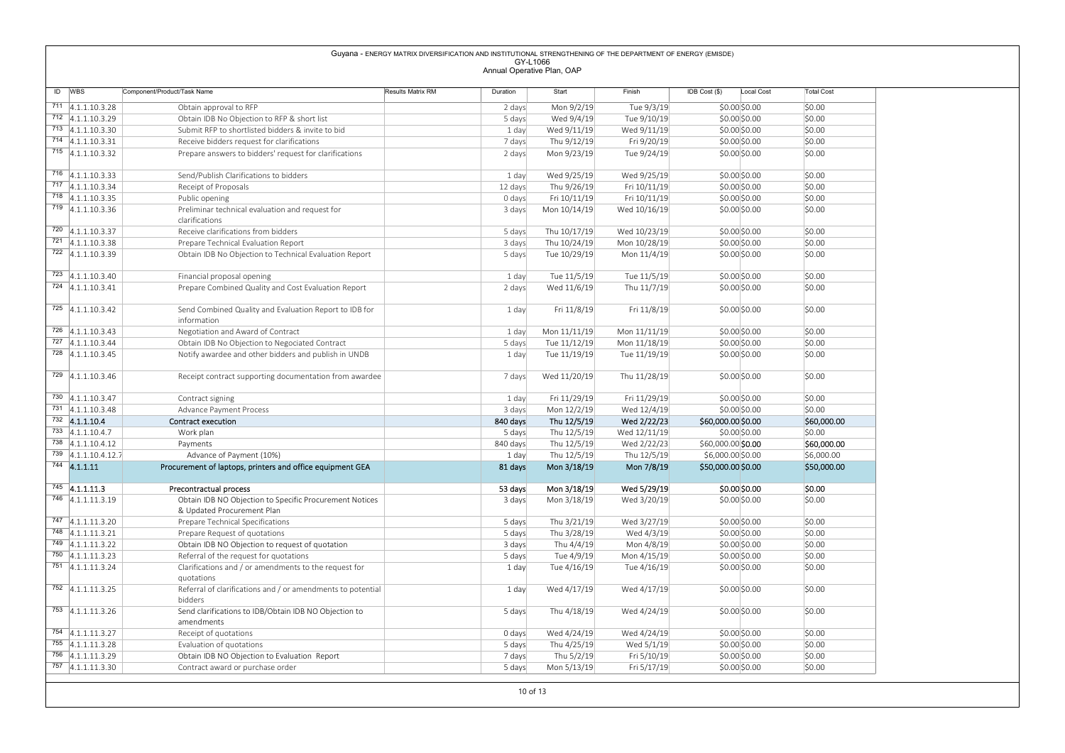|                                            |                                                                                               | Guyana - ENERGY MATRIX DIVERSIFICATION AND INSTITUTIONAL STRENGTHENING OF THE DEPARTMENT OF ENERGY (EMISDE) |                                        |                              |                              |                                         |                           |
|--------------------------------------------|-----------------------------------------------------------------------------------------------|-------------------------------------------------------------------------------------------------------------|----------------------------------------|------------------------------|------------------------------|-----------------------------------------|---------------------------|
|                                            |                                                                                               |                                                                                                             | GY-L1066<br>Annual Operative Plan, OAP |                              |                              |                                         |                           |
| ID WBS                                     | Component/Product/Task Name                                                                   | Results Matrix RM                                                                                           | Duration                               | Start                        | Finish                       | IDB Cost (\$)<br>Local Cost             | <b>Total Cost</b>         |
| $711$ 4.1.1.10.3.28                        | Obtain approval to RFP                                                                        |                                                                                                             | 2 days                                 | Mon 9/2/19                   | Tue 9/3/19                   | \$0.00\$0.00                            | \$0.00                    |
| $712$ 4.1.1.10.3.29                        | Obtain IDB No Objection to RFP & short list                                                   |                                                                                                             | 5 days                                 | Wed 9/4/19                   | Tue 9/10/19                  | \$0.00\$0.00                            | \$0.00                    |
| $713$ 4.1.1.10.3.30                        | Submit RFP to shortlisted bidders & invite to bid                                             |                                                                                                             | 1 day                                  | Wed 9/11/19                  | Wed 9/11/19                  | \$0.00 \$0.00                           | \$0.00                    |
| $714$ 4.1.1.10.3.31<br>$715$ 4.1.1.10.3.32 | Receive bidders request for clarifications                                                    |                                                                                                             | 7 days                                 | Thu 9/12/19                  | Fri 9/20/19                  | \$0.00\$0.00                            | \$0.00                    |
|                                            | Prepare answers to bidders' request for clarifications                                        |                                                                                                             | 2 days                                 | Mon 9/23/19                  | Tue 9/24/19                  | \$0.00\$0.00                            | \$0.00                    |
| $716$ 4.1.1.10.3.33                        | Send/Publish Clarifications to bidders                                                        |                                                                                                             | 1 day                                  | Wed 9/25/19                  | Wed 9/25/19                  | \$0.00\$0.00                            | \$0.00                    |
| $717$ 4.1.1.10.3.34<br>718 4.1.1.10.3.35   | Receipt of Proposals<br>Public opening                                                        |                                                                                                             | 12 days<br>0 days                      | Thu 9/26/19<br>Fri 10/11/19  | Fri 10/11/19<br>Fri 10/11/19 | \$0.00\$0.00<br>$$0.00$ \$0.00          | \$0.00<br>\$0.00          |
| 719 4.1.1.10.3.36                          | Preliminar technical evaluation and request for                                               |                                                                                                             | 3 days                                 | Mon 10/14/19                 | Wed 10/16/19                 | \$0.00\$0.00                            | \$0.00                    |
|                                            | clarifications                                                                                |                                                                                                             |                                        |                              |                              |                                         |                           |
| $720$ 4.1.1.10.3.37<br>$721$ 4.1.1.10.3.38 | Receive clarifications from bidders                                                           |                                                                                                             | 5 days                                 | Thu 10/17/19                 | Wed 10/23/19                 | \$0.00\$0.00                            | \$0.00                    |
| $722$ 4.1.1.10.3.39                        | Prepare Technical Evaluation Report<br>Obtain IDB No Objection to Technical Evaluation Report |                                                                                                             | 3 days<br>5 days                       | Thu 10/24/19<br>Tue 10/29/19 | Mon 10/28/19<br>Mon 11/4/19  | \$0.00\$0.00<br>\$0.00\$0.00            | \$0.00<br>\$0.00          |
|                                            |                                                                                               |                                                                                                             |                                        |                              |                              |                                         |                           |
| $723$ 4.1.1.10.3.40<br>$724$ 4.1.1.10.3.41 | Financial proposal opening                                                                    |                                                                                                             | 1 day                                  | Tue 11/5/19<br>Wed 11/6/19   | Tue 11/5/19<br>Thu 11/7/19   | \$0.00\$0.00<br>\$0.00\$0.00            | \$0.00<br>\$0.00          |
|                                            | Prepare Combined Quality and Cost Evaluation Report                                           |                                                                                                             | 2 days                                 |                              |                              |                                         |                           |
| 725 4.1.1.10.3.42                          | Send Combined Quality and Evaluation Report to IDB for                                        |                                                                                                             | 1 day                                  | Fri 11/8/19                  | Fri 11/8/19                  | \$0.00\$0.00                            | \$0.00                    |
| $726$ 4.1.1.10.3.43                        | information<br>Negotiation and Award of Contract                                              |                                                                                                             | 1 day                                  | Mon 11/11/19                 | Mon 11/11/19                 | \$0.00 \$0.00                           | \$0.00                    |
| $727$ 4.1.1.10.3.44                        | Obtain IDB No Objection to Negociated Contract                                                |                                                                                                             | 5 days                                 | Tue 11/12/19                 | Mon 11/18/19                 | \$0.00 \$0.00                           | \$0.00                    |
| $728$ 4.1.1.10.3.45                        | Notify awardee and other bidders and publish in UNDB                                          |                                                                                                             | 1 day                                  | Tue 11/19/19                 | Tue 11/19/19                 | \$0.00 \$0.00                           | \$0.00                    |
| 729 4.1.1.10.3.46                          | Receipt contract supporting documentation from awardee                                        |                                                                                                             | 7 days                                 | Wed 11/20/19                 | Thu 11/28/19                 | \$0.00\$0.00                            | \$0.00                    |
|                                            |                                                                                               |                                                                                                             |                                        |                              |                              |                                         |                           |
| $730$ 4.1.1.10.3.47<br>$731$ 4.1.1.10.3.48 | Contract signing                                                                              |                                                                                                             | 1 day<br>3 days                        | Fri 11/29/19                 | Fri 11/29/19                 | \$0.00 \$0.00<br>\$0.00 \$0.00          | \$0.00<br>\$0.00          |
| $732$ 4.1.1.10.4                           | Advance Payment Process<br>Contract execution                                                 |                                                                                                             | 840 days                               | Mon 12/2/19<br>Thu 12/5/19   | Wed 12/4/19<br>Wed 2/22/23   | \$60,000.00 \$0.00                      | \$60,000.00               |
| $733$ 4.1.1.10.4.7                         | Work plan                                                                                     |                                                                                                             | 5 days                                 | Thu 12/5/19                  | Wed 12/11/19                 | \$0.00\$0.00                            | \$0.00                    |
| $738$ 4.1.1.10.4.12                        | Payments                                                                                      |                                                                                                             | 840 days                               | Thu 12/5/19                  | Wed 2/22/23                  | \$60,000.00 \$0.00                      | \$60,000.00               |
| $739$ 4.1.1.10.4.12.7<br>$744$ 4.1.1.11    | Advance of Payment (10%)<br>Procurement of laptops, printers and office equipment GEA         |                                                                                                             | 1 day<br>81 days                       | Thu 12/5/19<br>Mon 3/18/19   | Thu 12/5/19<br>Mon 7/8/19    | \$6,000.00 \$0.00<br>\$50,000.00 \$0.00 | \$6,000.00<br>\$50,000.00 |
|                                            |                                                                                               |                                                                                                             |                                        |                              |                              |                                         |                           |
| $745$ 4.1.1.11.3<br>746 4.1.1.11.3.19      | Precontractual process                                                                        |                                                                                                             | 53 days                                | Mon 3/18/19                  | Wed 5/29/19                  | \$0.00 \$0.00                           | \$0.00                    |
|                                            | Obtain IDB NO Objection to Specific Procurement Notices<br>& Updated Procurement Plan         |                                                                                                             | 3 days                                 | Mon 3/18/19                  | Wed 3/20/19                  | \$0.00 \$0.00                           | \$0.00                    |
| $747$ 4.1.1.11.3.20                        | Prepare Technical Specifications                                                              |                                                                                                             | 5 days                                 | Thu 3/21/19                  | Wed 3/27/19                  | \$0.00 \$0.00                           | \$0.00                    |
| $748$ 4.1.1.11.3.21                        | Prepare Request of quotations                                                                 |                                                                                                             | 5 days                                 | Thu 3/28/19                  | Wed 4/3/19                   | \$0.00 \$0.00                           | \$0.00                    |
| $749$ 4.1.1.11.3.22<br>$750$ 4.1.1.11.3.23 | Obtain IDB NO Objection to request of quotation<br>Referral of the request for quotations     |                                                                                                             | 3 days<br>5 days                       | Thu 4/4/19<br>Tue 4/9/19     | Mon 4/8/19<br>Mon 4/15/19    | \$0.00 \$0.00<br>\$0.00 \$0.00          | \$0.00<br>\$0.00          |
| $751$ 4.1.1.11.3.24                        | Clarifications and / or amendments to the request for                                         |                                                                                                             | 1 day                                  | Tue 4/16/19                  | Tue 4/16/19                  | \$0.00\$0.00                            | \$0.00                    |
|                                            | quotations                                                                                    |                                                                                                             |                                        |                              |                              |                                         |                           |
| 752 4.1.1.11.3.25                          | Referral of clarifications and / or amendments to potential<br>bidders                        |                                                                                                             | 1 day                                  | Wed 4/17/19                  | Wed 4/17/19                  | \$0.00 \$0.00                           | \$0.00                    |
| $\overline{753}$ 4.1.1.11.3.26             | Send clarifications to IDB/Obtain IDB NO Objection to                                         |                                                                                                             | 5 days                                 | Thu 4/18/19                  | Wed 4/24/19                  | \$0.00\$0.00                            | \$0.00                    |
|                                            | amendments                                                                                    |                                                                                                             |                                        |                              |                              |                                         |                           |
| $754$ 4.1.1.11.3.27<br>$755$ 4.1.1.11.3.28 | Receipt of quotations<br>Evaluation of quotations                                             |                                                                                                             | 0 days<br>5 days                       | Wed 4/24/19<br>Thu 4/25/19   | Wed 4/24/19<br>Wed 5/1/19    | \$0.00\$0.00<br>\$0.00\$0.00            | \$0.00<br>\$0.00          |
|                                            |                                                                                               |                                                                                                             | 7 days                                 | Thu 5/2/19                   | Fri 5/10/19                  | \$0.00\$0.00                            | \$0.00                    |
| 756 4.1.1.11.3.29                          | Obtain IDB NO Objection to Evaluation Report                                                  |                                                                                                             |                                        |                              |                              |                                         |                           |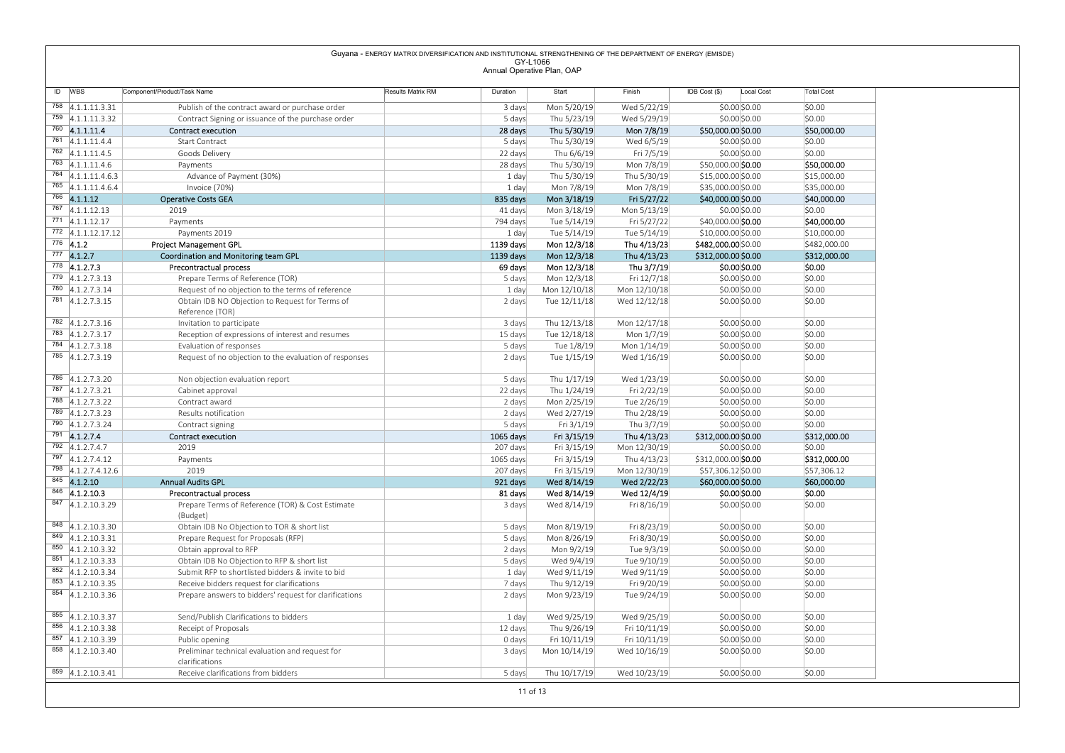| ID WBS                                       |                                                                                                 |                                                                                                             |                                        |                             |                             |                                     |                       |
|----------------------------------------------|-------------------------------------------------------------------------------------------------|-------------------------------------------------------------------------------------------------------------|----------------------------------------|-----------------------------|-----------------------------|-------------------------------------|-----------------------|
|                                              |                                                                                                 |                                                                                                             |                                        |                             |                             |                                     |                       |
|                                              |                                                                                                 |                                                                                                             |                                        |                             |                             |                                     |                       |
|                                              |                                                                                                 |                                                                                                             |                                        |                             |                             |                                     |                       |
|                                              |                                                                                                 |                                                                                                             |                                        |                             |                             |                                     |                       |
|                                              |                                                                                                 |                                                                                                             |                                        |                             |                             |                                     |                       |
|                                              |                                                                                                 |                                                                                                             |                                        |                             |                             |                                     |                       |
|                                              |                                                                                                 |                                                                                                             |                                        |                             |                             |                                     |                       |
|                                              |                                                                                                 |                                                                                                             |                                        |                             |                             |                                     |                       |
|                                              |                                                                                                 |                                                                                                             |                                        |                             |                             |                                     |                       |
|                                              |                                                                                                 |                                                                                                             |                                        |                             |                             |                                     |                       |
|                                              |                                                                                                 |                                                                                                             |                                        |                             |                             |                                     |                       |
|                                              |                                                                                                 |                                                                                                             |                                        |                             |                             |                                     |                       |
|                                              |                                                                                                 |                                                                                                             |                                        |                             |                             |                                     |                       |
|                                              |                                                                                                 |                                                                                                             |                                        |                             |                             |                                     |                       |
|                                              |                                                                                                 | Guyana - ENERGY MATRIX DIVERSIFICATION AND INSTITUTIONAL STRENGTHENING OF THE DEPARTMENT OF ENERGY (EMISDE) |                                        |                             |                             |                                     |                       |
|                                              |                                                                                                 |                                                                                                             | GY-L1066<br>Annual Operative Plan, OAP |                             |                             |                                     |                       |
|                                              |                                                                                                 |                                                                                                             |                                        |                             |                             |                                     |                       |
|                                              | Component/Product/Task Name                                                                     | Results Matrix RM                                                                                           | Duration                               | Start                       | Finish                      | $IDB Cost (§)$<br>Local Cost        | <b>Total Cost</b>     |
| $758$ 4.1.1.11.3.31                          | Publish of the contract award or purchase order                                                 |                                                                                                             | 3 days                                 | Mon 5/20/19                 | Wed 5/22/19                 | \$0.00 \$0.00                       | \$0.00                |
| $759$ 4.1.1.11.3.32<br>$760$ 4.1.1.11.4      | Contract Signing or issuance of the purchase order                                              |                                                                                                             | 5 days                                 | Thu 5/23/19                 | Wed 5/29/19                 | \$0.00 \$0.00                       | \$0.00                |
| $761$ 4.1.1.11.4.4                           | <b>Contract execution</b><br>Start Contract                                                     |                                                                                                             | 28 days<br>5 days                      | Thu 5/30/19<br>Thu 5/30/19  | Mon 7/8/19<br>Wed 6/5/19    | \$50,000.00 \$0.00<br>\$0.00 \$0.00 | \$50,000.00<br>\$0.00 |
| $762$ 4.1.1.11.4.5                           | Goods Delivery                                                                                  |                                                                                                             | 22 days                                | Thu 6/6/19                  | Fri 7/5/19                  | \$0.00 \$0.00                       | \$0.00                |
| 763 4.1.1.11.4.6                             | Payments                                                                                        |                                                                                                             | 28 days                                | Thu 5/30/19                 | Mon 7/8/19                  | \$50,000.00 \$0.00                  | \$50,000.00           |
| 764 4.1.1.11.4.6.3                           | Advance of Payment (30%)                                                                        |                                                                                                             | 1 day                                  | Thu 5/30/19                 | Thu 5/30/19                 | \$15,000.00 \$0.00                  | \$15,000.00           |
| $765$ 4.1.1.11.4.6.4                         | Invoice (70%)                                                                                   |                                                                                                             | 1 day                                  | Mon 7/8/19                  | Mon 7/8/19                  | \$35,000.00 \$0.00                  | \$35,000.00           |
| $\overline{766}$ 4.1.1.12<br>767 4.1.1.12.13 | <b>Operative Costs GEA</b>                                                                      |                                                                                                             | 835 days                               | Mon 3/18/19                 | Fri 5/27/22                 | \$40,000.00 \$0.00                  | \$40,000.00           |
| $771$ 4.1.1.12.17                            | 2019<br>Payments                                                                                |                                                                                                             | 41 days<br>794 days                    | Mon 3/18/19<br>Tue 5/14/19  | Mon 5/13/19<br>Fri 5/27/22  | \$0.00 \$0.00<br>\$40,000.00 \$0.00 | \$0.00<br>\$40,000.00 |
| 772 4.1.1.12.17.12                           | Payments 2019                                                                                   |                                                                                                             | 1 day                                  | Tue 5/14/19                 | Tue 5/14/19                 | \$10,000.00 \$0.00                  | \$10,000.00           |
| $776$ 4.1.2                                  | Project Management GPL                                                                          |                                                                                                             | 1139 days                              | Mon 12/3/18                 | Thu 4/13/23                 | \$482,000.00 \$0.00                 | \$482,000.00          |
| $777$ 4.1.2.7                                | Coordination and Monitoring team GPL                                                            |                                                                                                             | 1139 days                              | Mon 12/3/18                 | Thu 4/13/23                 | \$312,000.00 \$0.00                 | \$312,000.00          |
| $778$ 4.1.2.7.3<br>$779$ 4.1.2.7.3.13        | Precontractual process                                                                          |                                                                                                             | 69 days                                | Mon 12/3/18                 | Thu 3/7/19                  | \$0.00 \$0.00                       | \$0.00                |
| 780 4.1.2.7.3.14                             | Prepare Terms of Reference (TOR)<br>Request of no objection to the terms of reference           |                                                                                                             | 5 days<br>1 day                        | Mon 12/3/18<br>Mon 12/10/18 | Fri 12/7/18<br>Mon 12/10/18 | \$0.00 \$0.00<br>\$0.00 \$0.00      | \$0.00<br>\$0.00      |
| 781 4.1.2.7.3.15                             | Obtain IDB NO Objection to Request for Terms of                                                 |                                                                                                             | 2 days                                 | Tue 12/11/18                | Wed 12/12/18                | \$0.00 \$0.00                       | \$0.00                |
|                                              | Reference (TOR)                                                                                 |                                                                                                             |                                        |                             |                             |                                     |                       |
| 782 4.1.2.7.3.16                             | Invitation to participate                                                                       |                                                                                                             | 3 days                                 | Thu 12/13/18                | Mon 12/17/18                | \$0.00 \$0.00                       | \$0.00                |
| 783 4.1.2.7.3.17<br>784 4.1.2.7.3.18         | Reception of expressions of interest and resumes                                                |                                                                                                             | 15 days                                | Tue 12/18/18                | Mon 1/7/19                  | \$0.00 \$0.00                       | \$0.00                |
| 785 4.1.2.7.3.19                             | Evaluation of responses<br>Request of no objection to the evaluation of responses               |                                                                                                             | 5 days<br>2 days                       | Tue 1/8/19<br>Tue 1/15/19   | Mon 1/14/19<br>Wed 1/16/19  | \$0.00 \$0.00<br>\$0.00 \$0.00      | \$0.00<br>\$0.00      |
|                                              |                                                                                                 |                                                                                                             |                                        |                             |                             |                                     |                       |
| 786 4.1.2.7.3.20                             | Non objection evaluation report                                                                 |                                                                                                             | 5 days                                 | Thu 1/17/19                 | Wed 1/23/19                 | \$0.00 \$0.00                       | \$0.00                |
| 787 4.1.2.7.3.21                             | Cabinet approval                                                                                |                                                                                                             | 22 days                                | Thu 1/24/19                 | Fri 2/22/19                 | \$0.00 \$0.00                       | \$0.00                |
| 788 4.1.2.7.3.22                             | Contract award                                                                                  |                                                                                                             | 2 days                                 | Mon 2/25/19                 | Tue 2/26/19                 | \$0.00 \$0.00                       | \$0.00                |
| 789 4.1.2.7.3.23<br>790 4.1.2.7.3.24         | Results notification<br>Contract signing                                                        |                                                                                                             | 2 days<br>5 days                       | Wed 2/27/19<br>Fri 3/1/19   | Thu 2/28/19<br>Thu 3/7/19   | \$0.00 \$0.00<br>\$0.00 \$0.00      | \$0.00<br>\$0.00      |
| $791$ 4.1.2.7.4                              | <b>Contract execution</b>                                                                       |                                                                                                             | 1065 days                              | Fri 3/15/19                 | Thu 4/13/23                 | \$312,000.00 \$0.00                 | \$312,000.00          |
| $792$ 4.1.2.7.4.7                            | 2019                                                                                            |                                                                                                             | 207 days                               | Fri 3/15/19                 | Mon 12/30/19                | \$0.00 \$0.00                       | \$0.00                |
| 797 4.1.2.7.4.12                             | Payments                                                                                        |                                                                                                             | 1065 days                              | Fri 3/15/19                 | Thu 4/13/23                 | \$312,000.00 \$0.00                 | \$312,000.00          |
| 798 4.1.2.7.4.12.6                           | 2019                                                                                            |                                                                                                             | 207 days                               | Fri 3/15/19                 | Mon 12/30/19                | \$57,306.12 \$0.00                  | \$57,306.12           |
| 845 4.1.2.10                                 | <b>Annual Audits GPL</b>                                                                        |                                                                                                             | 921 days                               | Wed 8/14/19                 | Wed 2/22/23                 | \$60,000.00 \$0.00                  | \$60,000.00           |
| $846$ 4.1.2.10.3<br>847 4.1.2.10.3.29        | Precontractual process<br>Prepare Terms of Reference (TOR) & Cost Estimate                      |                                                                                                             | 81 days                                | Wed 8/14/19                 | Wed 12/4/19<br>Fri 8/16/19  | \$0.00 \$0.00                       | \$0.00                |
|                                              | (Budget)                                                                                        |                                                                                                             | 3 days                                 | Wed 8/14/19                 |                             | \$0.00 \$0.00                       | \$0.00                |
| 848 4.1.2.10.3.30                            | Obtain IDB No Objection to TOR & short list                                                     |                                                                                                             | 5 days                                 | Mon 8/19/19                 | Fri 8/23/19                 | \$0.00 \$0.00                       | \$0.00                |
| 849 4.1.2.10.3.31                            | Prepare Request for Proposals (RFP)                                                             |                                                                                                             | 5 days                                 | Mon 8/26/19                 | Fri 8/30/19                 | \$0.00 \$0.00                       | \$0.00                |
| 850 4.1.2.10.3.32                            | Obtain approval to RFP                                                                          |                                                                                                             | 2 days                                 | Mon 9/2/19                  | Tue 9/3/19                  | \$0.00 \$0.00                       | \$0.00                |
| 851 4.1.2.10.3.33                            | Obtain IDB No Objection to RFP & short list                                                     |                                                                                                             | 5 days                                 | Wed 9/4/19                  | Tue 9/10/19                 | \$0.00 \$0.00                       | \$0.00                |
|                                              | Submit RFP to shortlisted bidders & invite to bid<br>Receive bidders request for clarifications |                                                                                                             | 1 day<br>7 days                        | Wed 9/11/19<br>Thu 9/12/19  | Wed 9/11/19<br>Fri 9/20/19  | \$0.00 \$0.00<br>\$0.00 \$0.00      | \$0.00<br>\$0.00      |
| 852 4.1.2.10.3.34                            | Prepare answers to bidders' request for clarifications                                          |                                                                                                             | 2 days                                 | Mon 9/23/19                 | Tue 9/24/19                 | \$0.00 \$0.00                       | \$0.00                |
| 853 4.1.2.10.3.35                            |                                                                                                 |                                                                                                             |                                        |                             |                             |                                     |                       |
| 854 4.1.2.10.3.36                            |                                                                                                 |                                                                                                             | 1 day                                  | Wed 9/25/19                 | Wed 9/25/19                 | \$0.00 \$0.00                       |                       |
| 855 4.1.2.10.3.37                            | Send/Publish Clarifications to bidders                                                          |                                                                                                             |                                        |                             |                             |                                     | \$0.00                |
| $856$ 4.1.2.10.3.38                          | Receipt of Proposals                                                                            |                                                                                                             | 12 days                                | Thu 9/26/19                 | Fri 10/11/19                | \$0.00 \$0.00                       | \$0.00                |
| 857 4.1.2.10.3.39                            | Public opening                                                                                  |                                                                                                             | 0 days                                 | Fri 10/11/19                | Fri 10/11/19                | \$0.00 \$0.00                       | \$0.00                |
| $\overline{858}$ 4.1.2.10.3.40               | Preliminar technical evaluation and request for<br>clarifications                               |                                                                                                             | 3 days                                 | Mon 10/14/19                | Wed 10/16/19                | \$0.00 \$0.00                       | \$0.00                |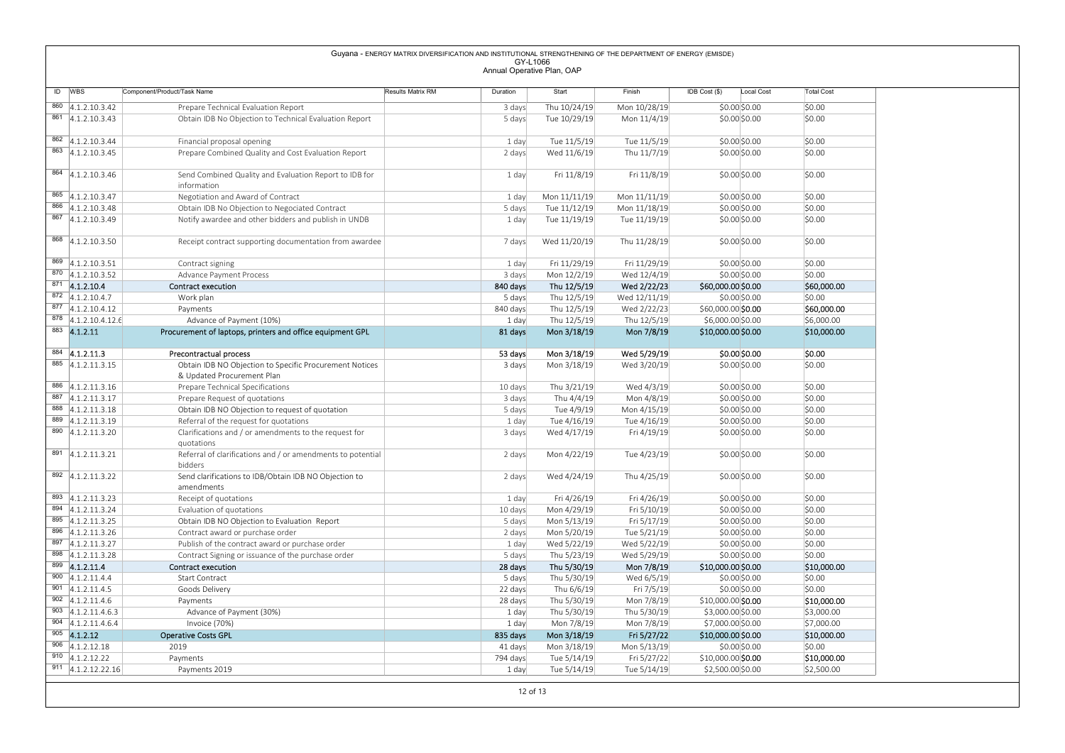|                                                                        |                                                                                               | Guyana - ENERGY MATRIX DIVERSIFICATION AND INSTITUTIONAL STRENGTHENING OF THE DEPARTMENT OF ENERGY (EMISDE) |                                        |                              |                              |                                     |                       |
|------------------------------------------------------------------------|-----------------------------------------------------------------------------------------------|-------------------------------------------------------------------------------------------------------------|----------------------------------------|------------------------------|------------------------------|-------------------------------------|-----------------------|
|                                                                        |                                                                                               |                                                                                                             | GY-L1066<br>Annual Operative Plan, OAP |                              |                              |                                     |                       |
|                                                                        |                                                                                               |                                                                                                             |                                        |                              |                              |                                     |                       |
| ID WBS                                                                 | Component/Product/Task Name                                                                   | Results Matrix RM                                                                                           | Duration                               | Start                        | Finish                       | IDB Cost (\$)<br>Local Cost         | <b>Total Cost</b>     |
| $860$ 4.1.2.10.3.42<br>$861$ 4.1.2.10.3.43                             | Prepare Technical Evaluation Report<br>Obtain IDB No Objection to Technical Evaluation Report |                                                                                                             | 3 days<br>5 days                       | Thu 10/24/19<br>Tue 10/29/19 | Mon 10/28/19<br>Mon 11/4/19  | \$0.00 \$0.00<br>\$0.00\$0.00       | \$0.00<br>\$0.00      |
|                                                                        |                                                                                               |                                                                                                             |                                        |                              |                              |                                     |                       |
| 862 4.1.2.10.3.44                                                      | Financial proposal opening                                                                    |                                                                                                             | 1 day                                  | Tue 11/5/19                  | Tue 11/5/19                  | \$0.00 \$0.00                       | \$0.00                |
| 863 4.1.2.10.3.45                                                      | Prepare Combined Quality and Cost Evaluation Report                                           |                                                                                                             | 2 days                                 | Wed 11/6/19                  | Thu 11/7/19                  | \$0.00 \$0.00                       | \$0.00                |
| $\overline{864}$ 4.1.2.10.3.46                                         | Send Combined Quality and Evaluation Report to IDB for                                        |                                                                                                             | 1 day                                  | Fri 11/8/19                  | Fri 11/8/19                  | \$0.00 \$0.00                       | \$0.00                |
|                                                                        | information                                                                                   |                                                                                                             |                                        |                              |                              |                                     |                       |
| 865 4.1.2.10.3.47<br>866 4.1.2.10.3.48                                 | Negotiation and Award of Contract<br>Obtain IDB No Objection to Negociated Contract           |                                                                                                             | 1 day<br>5 days                        | Mon 11/11/19<br>Tue 11/12/19 | Mon 11/11/19<br>Mon 11/18/19 | \$0.00 \$0.00<br>\$0.00 \$0.00      | \$0.00<br>\$0.00      |
| 867 4.1.2.10.3.49                                                      | Notify awardee and other bidders and publish in UNDB                                          |                                                                                                             | 1 day                                  | Tue 11/19/19                 | Tue 11/19/19                 | \$0.00\$0.00                        | \$0.00                |
|                                                                        |                                                                                               |                                                                                                             |                                        |                              |                              |                                     |                       |
| $868$ 4.1.2.10.3.50                                                    | Receipt contract supporting documentation from awardee                                        |                                                                                                             | 7 days                                 | Wed 11/20/19                 | Thu 11/28/19                 | \$0.00\$0.00                        | \$0.00                |
| $\begin{array}{ c c c } \hline 869 & 4.1.2.10.3.51 \hline \end{array}$ | Contract signing                                                                              |                                                                                                             | 1 day                                  | Fri 11/29/19                 | Fri 11/29/19                 | \$0.00\$0.00                        | \$0.00                |
| $870$ 4.1.2.10.3.52                                                    | Advance Payment Process                                                                       |                                                                                                             | 3 days                                 | Mon 12/2/19                  | Wed 12/4/19                  | \$0.00 \$0.00                       | \$0.00                |
| $871$ 4.1.2.10.4<br>$\overline{872}$ 4.1.2.10.4.7                      | Contract execution                                                                            |                                                                                                             | 840 days                               | Thu 12/5/19                  | Wed 2/22/23                  | \$60,000.00 \$0.00                  | \$60,000.00           |
| $\overline{877}$ 4.1.2.10.4.12                                         | Work plan<br>Payments                                                                         |                                                                                                             | 5 days<br>840 days                     | Thu 12/5/19<br>Thu 12/5/19   | Wed 12/11/19<br>Wed 2/22/23  | \$0.00\$0.00<br>\$60,000.00 \$0.00  | \$0.00<br>\$60,000.00 |
| $878$ 4.1.2.10.4.12.6                                                  | Advance of Payment (10%)                                                                      |                                                                                                             | 1 day                                  | Thu 12/5/19                  | Thu 12/5/19                  | \$6,000.00 \$0.00                   | \$6,000.00            |
| 883 4.1.2.11                                                           | Procurement of laptops, printers and office equipment GPL                                     |                                                                                                             | 81 days                                | Mon 3/18/19                  | Mon 7/8/19                   | \$10,000.00 \$0.00                  | \$10,000.00           |
| $884$ 4.1.2.11.3                                                       | Precontractual process                                                                        |                                                                                                             | 53 days                                | Mon 3/18/19                  | Wed 5/29/19                  | \$0.00 \$0.00                       | \$0.00                |
| $885$ 4.1.2.11.3.15                                                    | Obtain IDB NO Objection to Specific Procurement Notices                                       |                                                                                                             | 3 days                                 | Mon 3/18/19                  | Wed 3/20/19                  | \$0.00 \$0.00                       | \$0.00                |
|                                                                        | & Updated Procurement Plan                                                                    |                                                                                                             |                                        |                              |                              |                                     |                       |
| $886$ 4.1.2.11.3.16<br>887 4.1.2.11.3.17                               | Prepare Technical Specifications<br>Prepare Request of quotations                             |                                                                                                             | 10 days<br>3 days                      | Thu 3/21/19<br>Thu 4/4/19    | Wed 4/3/19<br>Mon 4/8/19     | \$0.00 \$0.00<br>\$0.00 \$0.00      | \$0.00<br>\$0.00      |
| $\overline{888}$ 4.1.2.11.3.18                                         | Obtain IDB NO Objection to request of quotation                                               |                                                                                                             | 5 days                                 | Tue 4/9/19                   | Mon 4/15/19                  | \$0.00 \$0.00                       | \$0.00                |
| 889 4.1.2.11.3.19                                                      | Referral of the request for quotations                                                        |                                                                                                             | 1 day                                  | Tue 4/16/19                  | Tue 4/16/19                  | \$0.00 \$0.00                       | \$0.00                |
| $890$ 4.1.2.11.3.20                                                    | Clarifications and / or amendments to the request for<br>quotations                           |                                                                                                             | 3 days                                 | Wed 4/17/19                  | Fri 4/19/19                  | \$0.00 \$0.00                       | \$0.00                |
| $\overline{891}$ 4.1.2.11.3.21                                         | Referral of clarifications and / or amendments to potential                                   |                                                                                                             | 2 days                                 | Mon 4/22/19                  | Tue 4/23/19                  | \$0.00 \$0.00                       | \$0.00                |
|                                                                        | bidders                                                                                       |                                                                                                             |                                        |                              |                              |                                     |                       |
| $\overline{892}$ 4.1.2.11.3.22                                         | Send clarifications to IDB/Obtain IDB NO Objection to<br>amendments                           |                                                                                                             | 2 days                                 | Wed 4/24/19                  | Thu 4/25/19                  | \$0.00 \$0.00                       | \$0.00                |
| 893 4.1.2.11.3.23                                                      | Receipt of quotations                                                                         |                                                                                                             | 1 day                                  | Fri 4/26/19                  | Fri 4/26/19                  | \$0.00 \$0.00                       | \$0.00                |
| 894 4.1.2.11.3.24                                                      | Evaluation of quotations                                                                      |                                                                                                             | 10 days                                | Mon 4/29/19                  | Fri 5/10/19                  | \$0.00 \$0.00                       | \$0.00                |
| 895 4.1.2.11.3.25<br>896 4.1.2.11.3.26                                 | Obtain IDB NO Objection to Evaluation Report                                                  |                                                                                                             | 5 days                                 | Mon 5/13/19                  | Fri 5/17/19                  | \$0.00 \$0.00                       | \$0.00                |
| 897 4.1.2.11.3.27                                                      | Contract award or purchase order<br>Publish of the contract award or purchase order           |                                                                                                             | 2 days<br>1 day                        | Mon 5/20/19<br>Wed 5/22/19   | Tue 5/21/19<br>Wed 5/22/19   | \$0.00 \$0.00<br>\$0.00 \$0.00      | \$0.00<br>\$0.00      |
| 898 4.1.2.11.3.28                                                      | Contract Signing or issuance of the purchase order                                            |                                                                                                             | 5 days                                 | Thu 5/23/19                  | Wed 5/29/19                  | \$0.00 \$0.00                       | \$0.00                |
| $899$ 4.1.2.11.4                                                       | Contract execution                                                                            |                                                                                                             | 28 days                                | Thu 5/30/19                  | Mon 7/8/19                   | \$10,000.00 \$0.00                  | \$10,000.00           |
| $900$ 4.1.2.11.4.4<br>$901$ 4.1.2.11.4.5                               | <b>Start Contract</b>                                                                         |                                                                                                             | 5 days                                 | Thu 5/30/19                  | Wed 6/5/19                   | \$0.00 \$0.00                       | \$0.00                |
| $902$ 4.1.2.11.4.6                                                     | Goods Delivery<br>Payments                                                                    |                                                                                                             | 22 days<br>28 days                     | Thu 6/6/19<br>Thu 5/30/19    | Fri 7/5/19<br>Mon 7/8/19     | \$0.00 \$0.00<br>\$10,000.00 \$0.00 | \$0.00<br>\$10,000.00 |
| $903$ 4.1.2.11.4.6.3                                                   | Advance of Payment (30%)                                                                      |                                                                                                             | 1 day                                  | Thu 5/30/19                  | Thu 5/30/19                  | \$3,000.00 \$0.00                   | \$3,000.00            |
| $904$ 4.1.2.11.4.6.4                                                   | Invoice (70%)                                                                                 |                                                                                                             | 1 day                                  | Mon 7/8/19                   | Mon 7/8/19                   | \$7,000.00 \$0.00                   | \$7,000.00            |
| $905$ 4.1.2.12<br>$906$ 4.1.2.12.18                                    | <b>Operative Costs GPL</b><br>2019                                                            |                                                                                                             | 835 days<br>41 days                    | Mon 3/18/19<br>Mon 3/18/19   | Fri 5/27/22<br>Mon 5/13/19   | \$10,000.00 \$0.00<br>\$0.00 \$0.00 | \$10,000.00<br>\$0.00 |
| $910$ 4.1.2.12.22                                                      | Payments                                                                                      |                                                                                                             | 794 days                               | Tue 5/14/19                  | Fri 5/27/22                  | \$10,000.00 \$0.00                  | \$10,000.00           |
| $911$ 4.1.2.12.22.16                                                   | Payments 2019                                                                                 |                                                                                                             | 1 day                                  | Tue 5/14/19                  |                              |                                     | \$2,500.00            |
|                                                                        |                                                                                               |                                                                                                             |                                        |                              | Tue 5/14/19                  | \$2,500.00 \$0.00                   |                       |

12 of 13